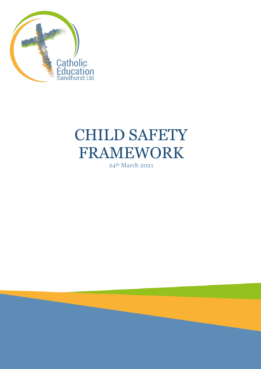

# CHILD SAFETY FRAMEWORK

24th March 2021

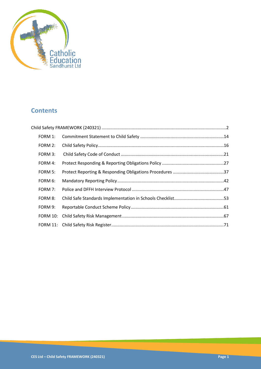

# **Contents**

| FORM 1:  |  |
|----------|--|
| FORM 2:  |  |
| FORM 3:  |  |
| FORM 4:  |  |
| FORM 5:  |  |
| FORM 6:  |  |
| FORM 7:  |  |
| FORM 8:  |  |
| FORM 9:  |  |
| FORM 10: |  |
|          |  |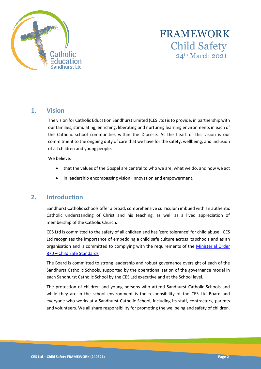

# FRAMEWORK Child Safety 24th March 2021

# **1. Vision**

The vision for Catholic Education Sandhurst Limited (CES Ltd) is to provide, in partnership with our families, stimulating, enriching, liberating and nurturing learning environments in each of the Catholic school communities within the Diocese. At the heart of this vision is our commitment to the ongoing duty of care that we have for the safety, wellbeing, and inclusion of all children and young people.

We believe:

- that the values of the Gospel are central to who we are, what we do, and how we act
- in leadership encompassing vision, innovation and empowerment.

### **2. Introduction**

Sandhurst Catholic schools offer a broad, comprehensive curriculum imbued with an authentic Catholic understanding of Christ and his teaching, as well as a lived appreciation of membership of the Catholic Church.

CES Ltd is committed to the safety of all children and has 'zero tolerance' for child abuse. CES Ltd recognises the importance of embedding a child safe culture across its schools and as an organisation and is committed to complying with the requirements of the [Ministerial Order](https://www.vrqa.vic.gov.au/childsafe/Documents/Min%20Order%20870%20Child%20Safe%20Standards.pdf)  870 – [Child Safe Standards](https://www.vrqa.vic.gov.au/childsafe/Documents/Min%20Order%20870%20Child%20Safe%20Standards.pdf).

The Board is committed to strong leadership and robust governance oversight of each of the Sandhurst Catholic Schools, supported by the operationalisation of the governance model in each Sandhurst Catholic School by the CES Ltd executive and at the School level.

The protection of children and young persons who attend Sandhurst Catholic Schools and while they are in the school environment is the responsibility of the CES Ltd Board and everyone who works at a Sandhurst Catholic School, including its staff, contractors, parents and volunteers. We all share responsibility for promoting the wellbeing and safety of children.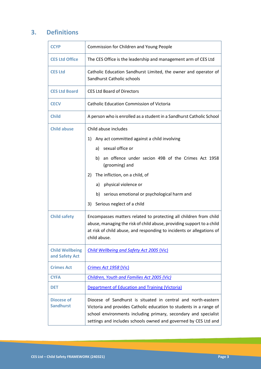# **3. Definitions**

| <b>CCYP</b>                              | Commission for Children and Young People                                                                                                                                                                                                                                                                                                   |
|------------------------------------------|--------------------------------------------------------------------------------------------------------------------------------------------------------------------------------------------------------------------------------------------------------------------------------------------------------------------------------------------|
| <b>CES Ltd Office</b>                    | The CES Office is the leadership and management arm of CES Ltd                                                                                                                                                                                                                                                                             |
| <b>CES Ltd</b>                           | Catholic Education Sandhurst Limited, the owner and operator of<br>Sandhurst Catholic schools                                                                                                                                                                                                                                              |
| <b>CES Ltd Board</b>                     | <b>CES Ltd Board of Directors</b>                                                                                                                                                                                                                                                                                                          |
| <b>CECV</b>                              | <b>Catholic Education Commission of Victoria</b>                                                                                                                                                                                                                                                                                           |
| <b>Child</b>                             | A person who is enrolled as a student in a Sandhurst Catholic School                                                                                                                                                                                                                                                                       |
| <b>Child abuse</b>                       | Child abuse includes<br>Any act committed against a child involving<br>1)<br>a) sexual office or<br>an offence under secion 49B of the Crimes Act 1958<br>b)<br>(grooming) and<br>The infliction, on a child, of<br>2)<br>physical violence or<br>a)<br>b) serious emotional or psychological harm and<br>Serious neglect of a child<br>3) |
| <b>Child safety</b>                      | Encompasses matters related to protecting all children from child<br>abuse, managing the risk of child abuse, providing support to a child<br>at risk of child abuse, and responding to incidents or allegations of<br>child abuse.                                                                                                        |
| <b>Child Wellbeing</b><br>and Safety Act | Child Wellbeing and Safety Act 2005 (Vic)                                                                                                                                                                                                                                                                                                  |
| <b>Crimes Act</b>                        | Crimes Act 1958 (Vic)                                                                                                                                                                                                                                                                                                                      |
| <b>CYFA</b>                              | Children, Youth and Families Act 2005 (Vic)                                                                                                                                                                                                                                                                                                |
| <b>DET</b>                               | <b>Department of Education and Training (Victoria)</b>                                                                                                                                                                                                                                                                                     |
| <b>Diocese of</b><br><b>Sandhurst</b>    | Diocese of Sandhurst is situated in central and north-eastern<br>Victoria and provides Catholic education to students in a range of<br>school environments including primary, secondary and specialist<br>settings and includes schools owned and governed by CES Ltd and                                                                  |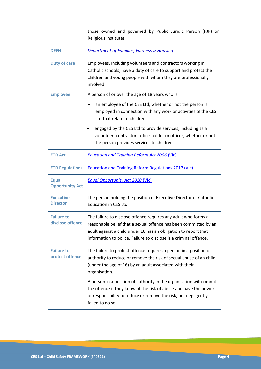|                                        | those owned and governed by Public Juridic Person (PJP) or<br>Religious Institutes                                                                                                                                                                                                                                                                                                                    |
|----------------------------------------|-------------------------------------------------------------------------------------------------------------------------------------------------------------------------------------------------------------------------------------------------------------------------------------------------------------------------------------------------------------------------------------------------------|
| <b>DFFH</b>                            | <b>Department of Families, Fairness &amp; Housing</b>                                                                                                                                                                                                                                                                                                                                                 |
| <b>Duty of care</b>                    | Employees, including volunteers and contractors working in<br>Catholic schools, have a duty of care to support and protect the<br>children and young people with whom they are professionally<br>involved                                                                                                                                                                                             |
| <b>Employee</b>                        | A person of or over the age of 18 years who is:<br>an employee of the CES Ltd, whether or not the person is<br>$\bullet$<br>employed in connection with any work or activities of the CES<br>Ltd that relate to children<br>engaged by the CES Ltd to provide services, including as a<br>volunteer, contractor, office-holder or officer, whether or not<br>the person provides services to children |
| <b>ETR Act</b>                         | <b>Education and Training Reform Act 2006 (Vic)</b>                                                                                                                                                                                                                                                                                                                                                   |
| <b>ETR Regulations</b>                 | <b>Education and Training Reform Regulations 2017 (Vic)</b>                                                                                                                                                                                                                                                                                                                                           |
| <b>Equal</b><br><b>Opportunity Act</b> | <b>Equal Opportunity Act 2010 (Vic)</b>                                                                                                                                                                                                                                                                                                                                                               |
| <b>Executive</b><br><b>Director</b>    | The person holding the position of Executive Director of Catholic<br><b>Education in CES Ltd</b>                                                                                                                                                                                                                                                                                                      |
| <b>Failure to</b><br>disclose offence  | The failure to disclose offence requires any adult who forms a<br>reasonable belief that a sexual offence has been committed by an<br>adult against a child under 16 has an obligation to report that<br>information to police. Failure to disclose is a criminal offence.                                                                                                                            |
| <b>Failure to</b><br>protect offence   | The failure to protect offence requires a person in a position of<br>authority to reduce or remove the risk of secual abuse of an child<br>(under the age of 16) by an adult associated with their<br>organisation.                                                                                                                                                                                   |
|                                        | A person in a position of authority in the organisation will commit<br>the offence if they know of the risk of abuse and have the power<br>or responsibility to reduce or remove the risk, but negligently<br>failed to do so.                                                                                                                                                                        |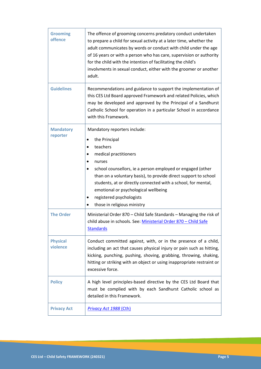| <b>Grooming</b><br>offence   | The offence of grooming concerns predatory conduct undertaken<br>to prepare a child for sexual activity at a later time, whether the<br>adult communicates by words or conduct with child under the age<br>of 16 years or with a person who has care, supervision or authority<br>for the child with the intention of facilitating the child's<br>involvments in sexual conduct, either with the groomer or another<br>adult. |
|------------------------------|-------------------------------------------------------------------------------------------------------------------------------------------------------------------------------------------------------------------------------------------------------------------------------------------------------------------------------------------------------------------------------------------------------------------------------|
| <b>Guidelines</b>            | Recommendations and guidance to support the implementation of<br>this CES Ltd Board approved Framework and related Policies, which<br>may be developed and approved by the Principal of a Sandhurst<br>Catholic School for operation in a particular School in accordance<br>with this Framework.                                                                                                                             |
| <b>Mandatory</b><br>reporter | Mandatory reporters include:<br>the Principal<br>teachers<br>medical practitioners<br>nurses<br>school counsellors, ie a person employed or engaged (other<br>than on a voluntary basis), to provide direct support to school<br>students, at or directly connected with a school, for mental,<br>emotional or psychological wellbeing<br>registered psychologists<br>those in religious ministry                             |
| <b>The Order</b>             | Ministerial Order 870 - Child Safe Standards - Managing the risk of<br>child abuse in schools. See: Ministerial Order 870 - Child Safe<br><b>Standards</b>                                                                                                                                                                                                                                                                    |
| <b>Physical</b><br>violence  | Conduct committed against, with, or in the presence of a child,<br>including an act that causes physical injury or pain such as hitting,<br>kicking, punching, pushing, shoving, grabbing, throwing, shaking,<br>hitting or striking with an object or using inappropriate restraint or<br>excessive force.                                                                                                                   |
| <b>Policy</b>                | A high level principles-based directive by the CES Ltd Board that<br>must be complied with by each Sandhurst Catholic school as<br>detailed in this Framework.                                                                                                                                                                                                                                                                |
| <b>Privacy Act</b>           | <b>Privacy Act 1988 (Cth)</b>                                                                                                                                                                                                                                                                                                                                                                                                 |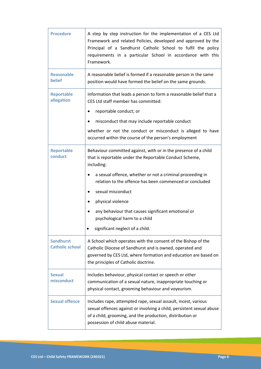| <b>Procedure</b>                           | A step by step instruction for the implementation of a CES Ltd<br>Framework and related Policies, developed and approved by the<br>Principal of a Sandhurst Catholic School to fulfil the policy<br>requirements in a particular School in accordance with this<br>Framework.                                              |
|--------------------------------------------|----------------------------------------------------------------------------------------------------------------------------------------------------------------------------------------------------------------------------------------------------------------------------------------------------------------------------|
| <b>Reasonable</b><br>belief                | A reasonable belief is formed if a reasonable person in the same<br>position would have formed the belief on the same grounds.                                                                                                                                                                                             |
| <b>Reportable</b><br>allegation            | Information that leads a person to form a reasonable belief that a<br>CES Ltd staff member has committed:<br>reportable conduct; or<br>$\bullet$<br>misconduct that may include reportable conduct<br>whether or not the conduct or misconduct is alleged to have<br>occurred within the course of the person's employment |
| <b>Reportable</b><br>conduct               | Behaviour committed against, with or in the presence of a child<br>that is reportable under the Reportable Conduct Scheme,<br>including:<br>a sexual offence, whether or not a criminal proceeding in<br>٠                                                                                                                 |
|                                            | relation to the offence has been commenced or concluded<br>sexual misconduct<br>٠<br>physical violence<br>٠<br>any behaviour that causes significant emotional or<br>٠<br>psychological harm to a child                                                                                                                    |
|                                            | significant neglect of a child.                                                                                                                                                                                                                                                                                            |
| <b>Sandhurst</b><br><b>Catholic school</b> | A School which operates with the consent of the Bishop of the<br>Catholic Diocese of Sandhurst and is owned, operated and<br>governed by CES Ltd, where formation and education are based on<br>the principles of Catholic doctrine.                                                                                       |
| Sexual<br>misconduct                       | Includes behaviour, physical contact or speech or other<br>communication of a sexual nature, inappropriate touching or<br>physical contact, grooming behaviour and voyeurism.                                                                                                                                              |
| <b>Sexual offence</b>                      | Includes rape, attempted rape, sexual assault, incest, various<br>sexual offences against or involving a child, persistent sexual abuse<br>of a child, grooming, and the production, distribution or<br>possession of child abuse material.                                                                                |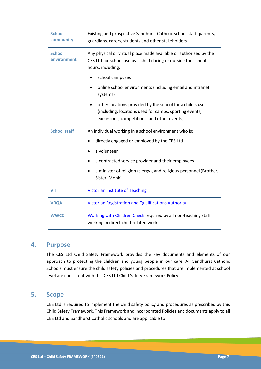| <b>School</b><br>community   | Existing and prospective Sandhurst Catholic school staff, parents,<br>guardians, carers, students and other stakeholders                                          |
|------------------------------|-------------------------------------------------------------------------------------------------------------------------------------------------------------------|
| <b>School</b><br>environment | Any physical or virtual place made available or authorised by the<br>CES Ltd for school use by a child during or outside the school<br>hours, including:          |
|                              | school campuses                                                                                                                                                   |
|                              | online school environments (including email and intranet<br>systems)                                                                                              |
|                              | other locations provided by the school for a child's use<br>(including, locations used for camps, sporting events,<br>excursions, competitions, and other events) |
| <b>School staff</b>          | An individual working in a school environment who is:                                                                                                             |
|                              | directly engaged or employed by the CES Ltd<br>$\bullet$                                                                                                          |
|                              | a volunteer<br>$\bullet$                                                                                                                                          |
|                              | a contracted service provider and their employees                                                                                                                 |
|                              | a minister of religion (clergy), and religious personnel (Brother,<br>Sister, Monk)                                                                               |
| <b>VIT</b>                   | <b>Victorian Institute of Teaching</b>                                                                                                                            |
| <b>VRQA</b>                  | <b>Victorian Registration and Qualifications Authority</b>                                                                                                        |
| <b>WWCC</b>                  | Working with Children Check required by all non-teaching staff<br>working in direct child-related work                                                            |

### **4. Purpose**

The CES Ltd Child Safety Framework provides the key documents and elements of our approach to protecting the children and young people in our care. All Sandhurst Catholic Schools must ensure the child safety policies and procedures that are implemented at school level are consistent with this CES Ltd Child Safety Framework Policy.

### **5. Scope**

CES Ltd is required to implement the child safety policy and procedures as prescribed by this Child Safety Framework. This Framework and incorporated Policies and documents apply to all CES Ltd and Sandhurst Catholic schools and are applicable to: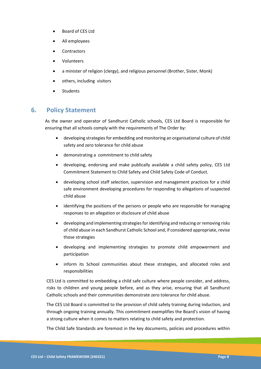- Board of CES Ltd
- All employees
- **Contractors**
- Volunteers
- a minister of religion (clergy), and religious personnel (Brother, Sister, Monk)
- others, including visitors
- **Students**

# **6. Policy Statement**

As the owner and operator of Sandhurst Catholic schools, CES Ltd Board is responsible for ensuring that all schools comply with the requirements of The Order by:

- developing strategies for embedding and monitoring an organisational culture of child safety and zero tolerance for child abuse
- demonstrating a commitment to child safety
- developing, endorsing and make publically available a child safety policy, CES Ltd Commitment Statement to Child Safety and Child Safety Code of Conduct.
- developing school staff selection, supervision and management practices for a child safe environment developing procedures for responding to allegations of suspected child abuse
- identifying the positions of the persons or people who are responsible for managing responses to an allegation or disclosure of child abuse
- developing and implementing strategies for identifying and reducing or removing risks of child abuse in each Sandhurst Catholic School and, if considered appropriate, revise those strategies
- developing and implementing strategies to promote child empowerment and participation
- inform its School communities about these strategies, and allocated roles and responsibilities

CES Ltd is committed to embedding a child safe culture where people consider, and address, risks to children and young people before, and as they arise, ensuring that all Sandhurst Catholic schools and their communities demonstrate zero tolerance for child abuse.

The CES Ltd Board is committed to the provision of child safety training during induction, and through ongoing training annually. This commitment exemplifies the Board's vision of having a strong culture when it comes to matters relating to child safety and protection.

The Child Safe Standards are foremost in the key documents, policies and procedures within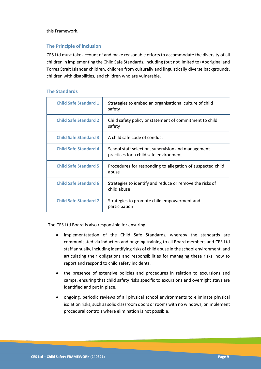this Framework.

#### **The Principle of inclusion**

CES Ltd must take account of and make reasonable efforts to accommodate the diversity of all children in implementing the Child Safe Standards, including (but not limited to) Aboriginal and Torres Strait Islander children, children from culturally and linguistically diverse backgrounds, children with disabilities, and children who are vulnerable.

#### **The Standards**

| <b>Child Safe Standard 1</b> | Strategies to embed an organisational culture of child<br>safety                             |
|------------------------------|----------------------------------------------------------------------------------------------|
| <b>Child Safe Standard 2</b> | Child safety policy or statement of commitment to child<br>safety                            |
| <b>Child Safe Standard 3</b> | A child safe code of conduct                                                                 |
| <b>Child Safe Standard 4</b> | School staff selection, supervision and management<br>practices for a child safe environment |
| <b>Child Safe Standard 5</b> | Procedures for responding to allegation of suspected child<br>abuse                          |
| <b>Child Safe Standard 6</b> | Strategies to identify and reduce or remove the risks of<br>child abuse                      |
| <b>Child Safe Standard 7</b> | Strategies to promote child empowerment and<br>participation                                 |

The CES Ltd Board is also responsible for ensuring:

- implementatation of the Child Safe Standards, whereby the standards are communicated via induction and ongoing training to all Board members and CES Ltd staff annually, including identifying risks of child abuse in the school environment, and articulating their obligations and responsibilities for managing these risks; how to report and respond to child safety incidents.
- the presence of extensive policies and procedures in relation to excursions and camps, ensuring that child safety risks specific to excursions and overnight stays are identified and put in place.
- ongoing, periodic reviews of all physical school environments to eliminate physical isolation risks, such as solid classroom doors or rooms with no windows, or implement procedural controls where elimination is not possible.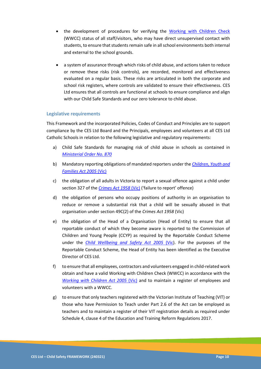- the development of procedures for verifying the [Working with Children Check](https://www.workingwithchildren.vic.gov.au/) (WWCC) status of all staff/visitors, who may have direct unsupervised contact with students, to ensure that students remain safe in all school environments both internal and external to the school grounds.
- a system of assurance through which risks of child abuse, and actions taken to reduce or remove these risks (risk controls), are recorded, monitored and effectiveness evaluated on a regular basis. These risks are articulated in both the corporate and school risk registers, where controls are validated to ensure their effectiveness. CES Ltd ensures that all controls are functional at schools to ensure compliance and align with our Child Safe Standards and our zero tolerance to child abuse.

#### **Legislative requirements**

This Framework and the incorporated Policies, Codes of Conduct and Principles are to support compliance by the CES Ltd Board and the Principals, employees and volunteers at all CES Ltd Catholic Schools in relation to the following legislative and regulatory requirements:

- a) Child Safe Standards for managing risk of child abuse in schools as contained in *[Ministerial Order No. 870](http://www.gazette.vic.gov.au/gazette/Gazettes2016/GG2016S002.pdf)*
- b) Mandatory reporting obligations of mandated reporters under the *[Children, Youth and](https://www.legislation.vic.gov.au/in-force/acts/children-youth-and-families-act-2005/123)  [Families Act 2005](https://www.legislation.vic.gov.au/in-force/acts/children-youth-and-families-act-2005/123)* (Vic)
- c) the obligation of all adults in Victoria to report a sexual offence against a child under section 327 of the *[Crimes Act 1958](https://www.legislation.vic.gov.au/in-force/acts/crimes-act-1958/294)* (Vic) ('failure to report' offence)
- d) the obligation of persons who occupy positions of authority in an organisation to reduce or remove a substantial risk that a child will be sexually abused in that organisation under section 49C(2) of the *Crimes Act 1958* (Vic)
- e) the obligation of the Head of a Organisation (Head of Entity) to ensure that all reportable conduct of which they become aware is reported to the Commission of Children and Young People (CCYP) as required by the Reportable Conduct Scheme under the *[Child Wellbeing and Safety Act 2005](https://www.legislation.vic.gov.au/in-force/acts/child-wellbeing-and-safety-act-2005/031)* (Vic). For the purposes of the Reportable Conduct Scheme, the Head of Entity has been identified as the Executive Director of CES Ltd.
- f) to ensure that all employees, contractors and volunteers engaged in child-related work obtain and have a valid Working with Children Check (WWCC) in accordance with the *[Working with Children Act 2005](https://www.legislation.vic.gov.au/as-made/acts/working-children-act-2005)* (Vic) and to maintain a register of employees and volunteers with a WWCC.
- g) to ensure that only teachers registered with the Victorian Institute of Teaching (VIT) or those who have Permission to Teach under Part 2.6 of the Act can be employed as teachers and to maintain a register of their VIT registration details as required under Schedule 4, clause 4 of the Education and Training Reform Regulations 2017.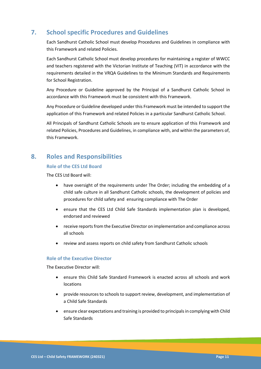# **7. School specific Procedures and Guidelines**

Each Sandhurst Catholic School must develop Procedures and Guidelines in compliance with this Framework and related Policies.

Each Sandhurst Catholic School must develop procedures for maintaining a register of WWCC and teachers registered with the Victorian Institute of Teaching (VIT) in accordance with the requirements detailed in the VRQA Guidelines to the Minimum Standards and Requirements for School Registration.

Any Procedure or Guideline approved by the Principal of a Sandhurst Catholic School in accordance with this Framework must be consistent with this Framework.

Any Procedure or Guideline developed under this Framework must be intended to support the application of this Framework and related Policies in a particular Sandhurst Catholic School.

All Principals of Sandhurst Catholic Schools are to ensure application of this Framework and related Policies, Procedures and Guidelines, in compliance with, and within the parameters of, this Framework.

# **8. Roles and Responsibilities**

#### **Role of the CES Ltd Board**

The CES Ltd Board will:

- have oversight of the requirements under The Order; including the embedding of a child safe culture in all Sandhurst Catholic schools, the development of policies and procedures for child safety and ensuring compliance with The Order
- ensure that the CES Ltd Child Safe Standards implementation plan is developed, endorsed and reviewed
- receive reports from the Executive Director on implementation and compliance across all schools
- review and assess reports on child safety from Sandhurst Catholic schools

#### **Role of the Executive Director**

The Executive Director will:

- ensure this Child Safe Standard Framework is enacted across all schools and work locations
- provide resources to schools to support review, development, and implementation of a Child Safe Standards
- ensure clear expectations and training is provided to principals in complying with Child Safe Standards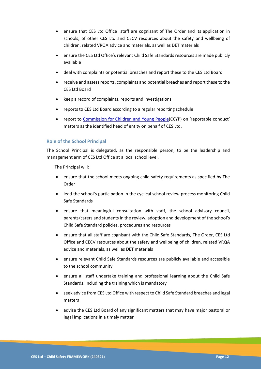- ensure that CES Ltd Office staff are cognisant of The Order and its application in schools; of other CES Ltd and CECV resources about the safety and wellbeing of children, related VRQA advice and materials, as well as DET materials
- ensure the CES Ltd Office's relevant Child Safe Standards resources are made publicly available
- deal with complaints or potential breaches and report these to the CES Ltd Board
- receive and assess reports, complaints and potential breaches and report these to the CES Ltd Board
- keep a record of complaints, reports and investigations
- reports to CES Ltd Board according to a regular reporting schedule
- report to [Commission for Children and Young People](https://ccyp.vic.gov.au/)(CCYP) on 'reportable conduct' matters as the identified head of entity on behalf of CES Ltd.

#### **Role of the School Principal**

The School Principal is delegated, as the responsible person, to be the leadership and management arm of CES Ltd Office at a local school level.

The Principal will:

- ensure that the school meets ongoing child safety requirements as specified by The Order
- lead the school's participation in the cyclical school review process monitoring Child Safe Standards
- ensure that meaningful consultation with staff, the school advisory council, parents/carers and students in the review, adoption and development of the school's Child Safe Standard policies, procedures and resources
- ensure that all staff are cognisant with the Child Safe Standards, The Order, CES Ltd Office and CECV resources about the safety and wellbeing of children, related VRQA advice and materials, as well as DET materials
- ensure relevant Child Safe Standards resources are publicly available and accessible to the school community
- ensure all staff undertake training and professional learning about the Child Safe Standards, including the training which is mandatory
- seek advice from CES Ltd Office with respect to Child Safe Standard breaches and legal matters
- advise the CES Ltd Board of any significant matters that may have major pastoral or legal implications in a timely matter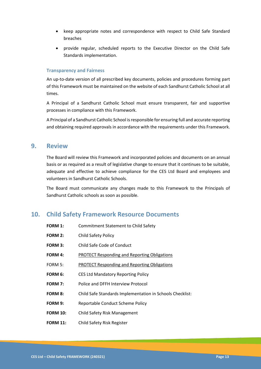- keep appropriate notes and correspondence with respect to Child Safe Standard breaches
- provide regular, scheduled reports to the Executive Director on the Child Safe Standards implementation.

#### **Transparency and Fairness**

An up-to-date version of all prescribed key documents, policies and procedures forming part of this Framework must be maintained on the website of each Sandhurst Catholic School at all times.

A Principal of a Sandhurst Catholic School must ensure transparent, fair and supportive processes in compliance with this Framework.

A Principal of a Sandhurst Catholic School is responsible for ensuring full and accurate reporting and obtaining required approvals in accordance with the requirements under this Framework.

### **9. Review**

The Board will review this Framework and incorporated policies and documents on an annual basis or as required as a result of legislative change to ensure that it continues to be suitable, adequate and effective to achieve compliance for the CES Ltd Board and employees and volunteers in Sandhurst Catholic Schools.

The Board must communicate any changes made to this Framework to the Principals of Sandhurst Catholic schools as soon as possible.

# **10. Child Safety Framework Resource Documents**

| <b>FORM 1:</b>  | <b>Commitment Statement to Child Safety</b>               |
|-----------------|-----------------------------------------------------------|
| <b>FORM 2:</b>  | Child Safety Policy                                       |
| <b>FORM 3:</b>  | Child Safe Code of Conduct                                |
| <b>FORM 4:</b>  | PROTECT Responding and Reporting Obligations              |
| FORM 5:         | <b>PROTECT Responding and Reporting Obligations</b>       |
| FORM 6:         | <b>CES Ltd Mandatory Reporting Policy</b>                 |
| <b>FORM 7:</b>  | Police and DFFH Interview Protocol                        |
| <b>FORM 8:</b>  | Child Safe Standards Implementation in Schools Checklist: |
| FORM 9:         | Reportable Conduct Scheme Policy                          |
| <b>FORM 10:</b> | <b>Child Safety Risk Management</b>                       |
| <b>FORM 11:</b> | Child Safety Risk Register                                |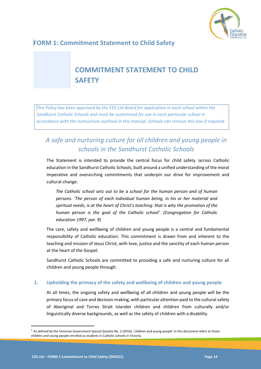

# <span id="page-14-0"></span>**FORM 1: Commitment Statement to Child Safety**

# <span id="page-14-1"></span>**COMMITMENT STATEMENT TO CHILD SAFETY**

*This Policy has been approved by the CES Ltd Board for application in each school within the Sandhurst Catholic Schools and must be customised for use in each particular school in accordance with the instructions outlined in this manual. Schools can remove this box if required.*

# *A safe and nurturing culture for all children and young people in schools in the Sandhurst Catholic Schools*

The Statement is intended to provide the central focus for child safety 1across Catholic education in the Sandhurst Catholic Schools, built around a unified understanding of the moral imperative and overarching commitments that underpin our drive for improvement and cultural change.

*The Catholic school sets out to be a school for the human person and of human persons. 'The person of each individual human being, in his or her material and spiritual needs, is at the heart of Christ's teaching: that is why the promotion of the human person is the goal of the Catholic school'. (Congregation for Catholic education 1997, par. 9)*

The care, safety and wellbeing of children and young people is a central and fundamental responsibility of Catholic education. This commitment is drawn from and inherent to the teaching and mission of Jesus Christ, with love, justice and the sanctity of each human person at the heart of the Gospel.

Sandhurst Catholic Schools are committed to providing a safe and nurturing culture for all children and young people through:

#### **1. Upholding the primacy of the safety and wellbeing of children and young people**

At all times, the ongoing safety and wellbeing of all children and young people will be the primary focus of care and decision-making, with particular attention paid to the cultural safety of Aboriginal and Torres Strait Islander children and children from culturally and/or linguistically diverse backgrounds, as well as the safety of children with a disability.

 $1$  As defined by the Victorian Government Special Gazette No. 2 (2016), 'children and young people' in this document refers to those children and young people enrolled as students in Catholic schools in Victoria.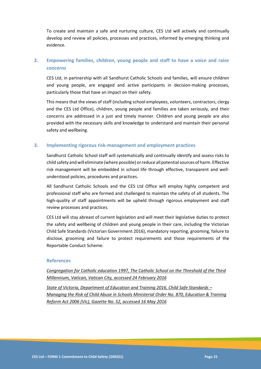To create and maintain a safe and nurturing culture, CES Ltd will actively and continually develop and review all policies, processes and practices, informed by emerging thinking and evidence.

### **2. Empowering families, children, young people and staff to have a voice and raise concerns**

CES Ltd, in partnership with all Sandhurst Catholic Schools and families, will ensure children and young people, are engaged and active participants in decision-making processes, particularly those that have an impact on their safety.

This means that the views of staff (including school employees, volunteers, contractors, clergy and the CES Ltd Office), children, young people and families are taken seriously, and their concerns are addressed in a just and timely manner. Children and young people are also provided with the necessary skills and knowledge to understand and maintain their personal safety and wellbeing.

#### **3. Implementing rigorous risk-management and employment practices**

Sandhurst Catholic School staff will systematically and continually identify and assess risks to child safety and will eliminate (where possible) orreduce allpotentialsources of harm. Effective risk management will be embedded in school life through effective, transparent and wellunderstood policies, procedures and practices.

All Sandhurst Catholic Schools and the CES Ltd Office will employ highly competent and professional staff who are formed and challenged to maintain the safety of all students. The high-quality of staff appointments will be upheld through rigorous employment and staff review processes and practices.

CES Ltd will stay abreast of current legislation and will meet their legislative duties to protect the safety and wellbeing of children and young people in their care, including the Victorian Child Safe Standards (Victorian Government 2016), mandatory reporting, grooming, failure to disclose, grooming and failure to protect requirements and those requirements of the Reportable Conduct Scheme.

#### **References**

*[Congregation for Catholic education 1997, The Catholic School on the Threshold of the Third](http://www.vatican.va/roman_curia/congregations/ccatheduc/documents/rc_con_ccatheduc_doc_27041998_school2000_en.html)  [Millennium, Vatican, Vatican City, accessed 24 February 2016](http://www.vatican.va/roman_curia/congregations/ccatheduc/documents/rc_con_ccatheduc_doc_27041998_school2000_en.html)*

*[State of Victoria, Department of Education and Training 2016, Child Safe Standards](http://www.gazette.vic.gov.au/gazette/Gazettes2016/GG2016S002.pdf) – [Managing the Risk of Child Abuse in Schools Ministerial Order No. 870, Education & Training](http://www.gazette.vic.gov.au/gazette/Gazettes2016/GG2016S002.pdf)  [Reform Act 2006 \(Vic\), Gazette No. S2, accessed 16 May 2016](http://www.gazette.vic.gov.au/gazette/Gazettes2016/GG2016S002.pdf)*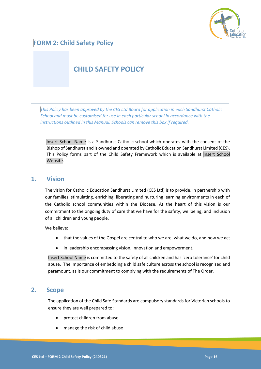

# <span id="page-16-0"></span>**FORM 2: Child Safety Policy**

# <span id="page-16-1"></span>**CHILD SAFETY POLICY**

*This Policy has been approved by the CES Ltd Board for application in each Sandhurst Catholic School and must be customised for use in each particular school in accordance with the instructions outlined in this Manual. Schools can remove this box if required.*

Insert School Name is a Sandhurst Catholic school which operates with the consent of the Bishop of Sandhurst and is owned and operated by Catholic Education Sandhurst Limited (CES). This Policy forms part of the Child Safety Framework which is available at Insert School Website.

### **1. Vision**

The vision for Catholic Education Sandhurst Limited (CES Ltd) is to provide, in partnership with our families, stimulating, enriching, liberating and nurturing learning environments in each of the Catholic school communities within the Diocese. At the heart of this vision is our commitment to the ongoing duty of care that we have for the safety, wellbeing, and inclusion of all children and young people.

We believe:

- that the values of the Gospel are central to who we are, what we do, and how we act
- in leadership encompassing vision, innovation and empowerment.

Insert School Name is committed to the safety of all children and has 'zero tolerance' for child abuse. The importance of embedding a child safe culture across the school is recognised and paramount, as is our commitment to complying with the requirements of The Order.

### **2. Scope**

The application of the Child Safe Standards are compulsory standards for Victorian schools to ensure they are well prepared to:

- protect children from abuse
- manage the risk of child abuse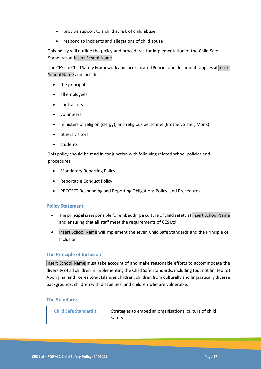- provide support to a child at risk of child abuse
- respond to incidents and allegations of child abuse

This policy will outline the policy and procedures for implementation of the Child Safe Standards at Insert School Name .

The CES Ltd Child Safety Framework and incorporated Policies and documents applies at Insert School Name and includes:

- the principal
- all employees
- contractors
- volunteers
- ministers of religion (clergy), and religious personnel (Brother, Sister, Monk)
- others visitors
- students

This policy should be read in conjunction with following related school policies and procedures:

- Mandatory Reporting Policy
- Reportable Conduct Policy
- PROTECT Responding and Reporting Obligations Policy, and Procedures

#### **Policy Statement**

- The principal is responsible for embedding a culture of child safety at Insert School Name and ensuring that all staff meet the requirements of CES Ltd.
- Insert School Name will implement the seven Child Safe Standards and the Principle of Inclusion.

#### **The Principle of Inclusion**

Insert School Name must take account of and make reasonable efforts to accommodate the diversity of all children in implementing the Child Safe Standards, including (but not limited to) Aboriginal and Torres Strait Islander children, children from culturally and linguistically diverse backgrounds, children with disabilities, and children who are vulnerable.

#### **The Standards**

| <b>Child Safe Standard 1</b> | Strategies to embed an organisational culture of child<br>safety |
|------------------------------|------------------------------------------------------------------|
|------------------------------|------------------------------------------------------------------|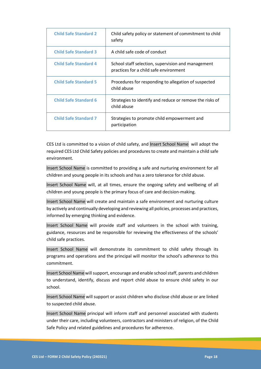| <b>Child Safe Standard 2</b> | Child safety policy or statement of commitment to child<br>safety                            |
|------------------------------|----------------------------------------------------------------------------------------------|
| <b>Child Safe Standard 3</b> | A child safe code of conduct                                                                 |
| <b>Child Safe Standard 4</b> | School staff selection, supervision and management<br>practices for a child safe environment |
| <b>Child Safe Standard 5</b> | Procedures for responding to allegation of suspected<br>child abuse                          |
| <b>Child Safe Standard 6</b> | Strategies to identify and reduce or remove the risks of<br>child abuse                      |
| <b>Child Safe Standard 7</b> | Strategies to promote child empowerment and<br>participation                                 |

CES Ltd is committed to a vision of child safety, and Insert School Name will adopt the required CES Ltd Child Safety policies and procedures to create and maintain a child safe environment.

Insert School Name is committed to providing a safe and nurturing environment for all children and young people in its schools and has a zero tolerance for child abuse.

Insert School Name will, at all times, ensure the ongoing safety and wellbeing of all children and young people is the primary focus of care and decision-making.

Insert School Name will create and maintain a safe environment and nurturing culture by actively and continually developing and reviewing all policies, processes and practices, informed by emerging thinking and evidence.

Insert School Name will provide staff and volunteers in the school with training, guidance, resources and be responsible for reviewing the effectiveness of the schools' child safe practices.

Insert School Name will demonstrate its commitment to child safety through its programs and operations and the principal will monitor the school's adherence to this commitment.

Insert School Name will support, encourage and enable school staff, parents and children to understand, identify, discuss and report child abuse to ensure child safety in our school.

Insert School Name will support or assist children who disclose child abuse or are linked to suspected child abuse.

Insert School Name principal will inform staff and personnel associated with students under their care, including volunteers, contractors and ministers of religion, of the Child Safe Policy and related guidelines and procedures for adherence.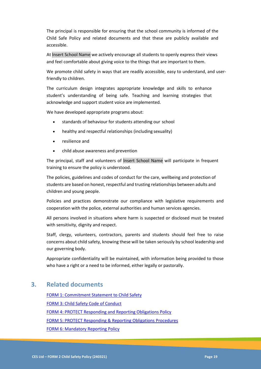The principal is responsible for ensuring that the school community is informed of the Child Safe Policy and related documents and that these are publicly available and accessible.

At Insert School Name we actively encourage all students to openly express their views and feel comfortable about giving voice to the things that are important to them.

We promote child safety in ways that are readily accessible, easy to understand, and userfriendly to children.

The curriculum design integrates appropriate knowledge and skills to enhance student's understanding of being safe. Teaching and learning strategies that acknowledge and support student voice are implemented.

We have developed appropriate programs about:

- standards of behaviour for students attending our school
- healthy and respectful relationships (including sexuality)
- resilience and
- child abuse awareness and prevention

The principal, staff and volunteers of Insert School Name will participate in frequent training to ensure the policy is understood.

The policies, guidelines and codes of conduct for the care, wellbeing and protection of students are based on honest, respectful and trusting relationships between adults and children and young people.

Policies and practices demonstrate our compliance with legislative requirements and cooperation with the police, external authorities and human services agencies.

All persons involved in situations where harm is suspected or disclosed must be treated with sensitivity, dignity and respect.

Staff, clergy, volunteers, contractors, parents and students should feel free to raise concerns about child safety, knowing these will be taken seriously by school leadership and our governing body.

Appropriate confidentiality will be maintained, with information being provided to those who have a right or a need to be informed, either legally or pastorally.

# **3. Related documents**

[FORM 1: Commitment Statement to Child Safety](#page-14-1) [FORM 3: Child Safety Code of Conduct](#page-21-1)  [FORM 4: PROTECT Responding and Reporting Obligations Policy](#page-27-1) [FORM 5: PROTECT Responding & Reporting Obligations](#page-37-1) Procedures [FORM 6: Mandatory Reporting](#page-42-1) Policy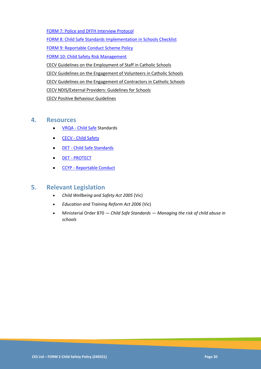<span id="page-20-0"></span>[FORM 7: Police and DFFH Interview Protocol](#page-20-0) [FORM 8: Child Safe Standards Implementation in](#page-53-1) Schools Checklist [FORM 9: Reportable Conduct Scheme](#page-61-1) Policy [FORM 10: Child Safety Risk Management](#page-67-1) [CECV Guidelines on the Employment of Staff in Catholic Schools](https://www.cecv.catholic.edu.au/getmedia/0393d7fb-2fb9-4e48-a05e-56b703dd62eb/Employment-Guidelines.aspx) [CECV Guidelines on the Engagement of Volunteers in Catholic Schools](https://www.cecv.catholic.edu.au/Media-Files/IR/Policies-Guidelines/Volunteers/Guidelines-on-the-Engagement-of-Volunteers.aspx) [CECV Guidelines on the Engagement of Contractors in Catholic Schools](https://www.cecv.catholic.edu.au/Media-Files/IR/Policies-Guidelines/Staff,-Contractors,-Volunteers/Contractor-Guidelines.aspx) [CECV NDIS/External Providers: Guidelines for Schools](https://www.cecv.catholic.edu.au/getmedia/cec12bdf-5e03-4d3a-ac47-504fe084f415/NDIS-External-Providers-Guidelines.aspx?ext=.pdf) [CECV Positive Behaviour Guidelines](https://www.cecv.catholic.edu.au/getmedia/bc1d235d-9a98-4bb4-b3ac-84b50fa7c639/CECV-Positive-Behaviour-Guidelines_FINAL2.aspx?ext=.pdf)

### **4. Resources**

- VRQA [Child Safe](https://www.vrqa.vic.gov.au/childsafe/Pages/Home.aspx) Standards
- CECV [Child Safety](https://cevn.cecv.catholic.edu.au/Sand/Child-Safety)
- DET [Child Safe Standards](https://www2.education.vic.gov.au/pal/child-safe-standards/policy)
- DET [PROTECT](https://www.education.vic.gov.au/about/programs/health/protect/Pages/default.aspx?Redirect=1)
- CCYP [Reportable Conduct](https://ccyp.vic.gov.au/child-safety/resources/reportable-conduct-scheme-information-sheets/#Responsibilities)

# **5. Relevant Legislation**

- *[Child Wellbeing and Safety Act 2005](https://www.legislation.vic.gov.au/in-force/acts/child-wellbeing-and-safety-act-2005)* (Vic)
- *[Education and Training Reform Act 2006](https://www.legislation.vic.gov.au/in-force/acts/education-and-training-reform-act-2006)* (Vic)
- Ministerial Order 870 *— Child Safe Standards — [Managing the risk of child abuse in](http://www.gazette.vic.gov.au/gazette/Gazettes2016/GG2016S002.pdf)  [schools](http://www.gazette.vic.gov.au/gazette/Gazettes2016/GG2016S002.pdf)*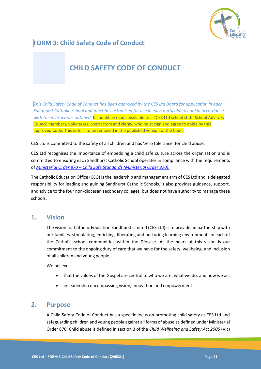

# <span id="page-21-0"></span>**FORM 3: Child Safety Code of Conduct**

# <span id="page-21-1"></span>**CHILD SAFETY CODE OF CONDUCT**

*This Child Safety Code of Conduct has been approved by the CES Ltd Board for application in each Sandhurst Catholic School and must be customised for use in each particular School in accordance with the instructions outlined.* It should be made available to all CES Ltd school staff, School Advisory Council members, volunteers, contractors and clergy, who must sign and agree to abide by this approved Code. This note is to be removed in the published version of the Code.

CES Ltd is committed to the safety of all children and has 'zero tolerance' for child abuse.

CES Ltd recognises the importance of embedding a child safe culture across the organisation and is committed to ensuring each Sandhurst Catholic School operates in compliance with the requirements of *[Ministerial Order 870](https://www.vrqa.vic.gov.au/childsafe/Documents/Min%20Order%20870%20Child%20Safe%20Standards.pdf) – Child Safe Standards (Ministerial Order 870)*.

The Catholic Education Office (CEO) is the leadership and management arm of CES Ltd and is delegated responsibility for leading and guiding Sandhurst Catholic Schools. It also provides guidance, support, and advice to the four non-diocesan secondary colleges, but does not have authority to manage these schools.

# **1. Vision**

The vision for Catholic Education Sandhurst Limited (CES Ltd) is to provide, in partnership with our families, stimulating, enriching, liberating and nurturing learning environments in each of the Catholic school communities within the Diocese. At the heart of this vision is our commitment to the ongoing duty of care that we have for the safety, wellbeing, and inclusion of all children and young people.

We believe:

- that the values of the Gospel are central to who we are, what we do, and how we act
- in leadership encompassing vision, innovation and empowerment.

### **2. Purpose**

A Child Safety Code of Conduct has a specific focus on promoting child safety at CES Ltd and safeguarding children and young people against all forms of abuse as defined under Ministerial Order 870. Child abuse is defined in section 3 of the *Child Wellbeing and Safety Act 2005* (Vic)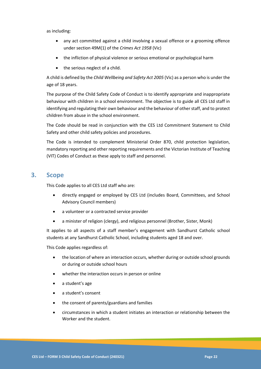#### as including:

- any act committed against a child involving a sexual offence or a grooming offence under section 49M(1) of the *Crimes Act 1958* (Vic)
- the infliction of physical violence or serious emotional or psychological harm
- the serious neglect of a child.

A child is defined by the *Child Wellbeing and Safety Act 2005* (Vic) as a person who is under the age of 18 years.

The purpose of the Child Safety Code of Conduct is to identify appropriate and inappropriate behaviour with children in a school environment. The objective is to guide all CES Ltd staff in identifying and regulating their own behaviour and the behaviour of other staff, and to protect children from abuse in the school environment.

The Code should be read in conjunction with the CES Ltd Commitment Statement to Child Safety and other child safety policies and procedures.

The Code is intended to complement Ministerial Order 870, child protection legislation, mandatory reporting and other reporting requirements and the Victorian Institute of Teaching (VIT) Codes of Conduct as these apply to staff and personnel.

### **3. Scope**

This Code applies to all CES Ltd staff who are:

- directly engaged or employed by CES Ltd (includes Board, Committees, and School Advisory Council members)
- a volunteer or a contracted service provider
- a minister of religion (clergy), and religious personnel (Brother, Sister, Monk)

It applies to all aspects of a staff member's engagement with Sandhurst Catholic school students at any Sandhurst Catholic School, including students aged 18 and over.

This Code applies regardless of:

- the location of where an interaction occurs, whether during or outside school grounds or during or outside school hours
- whether the interaction occurs in person or online
- a student's age
- a student's consent
- the consent of parents/guardians and families
- circumstances in which a student initiates an interaction or relationship between the Worker and the student.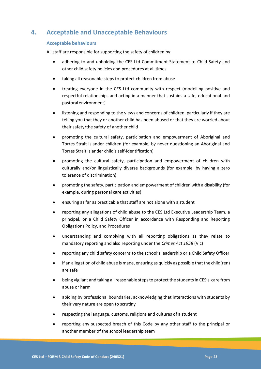# **4. Acceptable and Unacceptable Behaviours**

#### **Acceptable behaviours**

All staff are responsible for supporting the safety of children by:

- adhering to and upholding the CES Ltd Commitment Statement to Child Safety and other child safety policies and procedures at all times
- taking all reasonable steps to protect children from abuse
- treating everyone in the CES Ltd community with respect (modelling positive and respectful relationships and acting in a manner that sustains a safe, educational and pastoralenvironment)
- listening and responding to the views and concerns of children, particularly if they are telling you that they or another child has been abused or that they are worried about their safety/the safety of another child
- promoting the cultural safety, participation and empowerment of Aboriginal and Torres Strait Islander children (for example, by never questioning an Aboriginal and Torres Strait Islander child's self-identification)
- promoting the cultural safety, participation and empowerment of children with culturally and/or linguistically diverse backgrounds (for example, by having a zero tolerance of discrimination)
- promoting the safety, participation and empowerment of children with a disability (for example, during personal care activities)
- ensuring as far as practicable that staff are not alone with a student
- reporting any allegations of child abuse to the CES Ltd Executive Leadership Team, a principal, or a Child Safety Officer in accordance with Responding and Reporting Obligations Policy, and Procedures
- understanding and complying with all reporting obligations as they relate to mandatory reporting and also reporting under the *Crimes Act 1958* (Vic)
- reporting any child safety concerns to the school's leadership or a Child Safety Officer
- if an allegation of child abuse is made, ensuring as quickly as possible that the child(ren) are safe
- being vigilant and taking all reasonable steps to protect the students in CES's care from abuse or harm
- abiding by professional boundaries, acknowledging that interactions with students by their very nature are open to scrutiny
- respecting the language, customs, religions and cultures of a student
- reporting any suspected breach of this Code by any other staff to the principal or another member of the school leadership team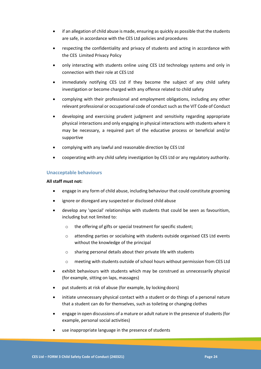- if an allegation of child abuse is made, ensuring as quickly as possible that the students are safe, in accordance with the CES Ltd policies and procedures
- respecting the confidentiality and privacy of students and acting in accordance with the CES Limited Privacy Policy
- only interacting with students online using CES Ltd technology systems and only in connection with their role at CES Ltd
- immediately notifying CES Ltd if they become the subject of any child safety investigation or become charged with any offence related to child safety
- complying with their professional and employment obligations, including any other relevant professional or occupational code of conduct such as the VIT Code of Conduct
- developing and exercising prudent judgment and sensitivity regarding appropriate physical interactions and only engaging in physical interactions with students where it may be necessary, a required part of the educative process or beneficial and/or supportive
- complying with any lawful and reasonable direction by CES Ltd
- cooperating with any child safety investigation by CES Ltd or any regulatory authority.

#### **Unacceptable behaviours**

#### **All staff must not:**

- engage in any form of child abuse, including behaviour that could constitute grooming
- ignore or disregard any suspected or disclosed child abuse
- develop any 'special' relationships with students that could be seen as favouritism, including but not limited to:
	- o the offering of gifts or special treatment for specific student;
	- o attending parties or socialising with students outside organised CES Ltd events without the knowledge of the principal
	- o sharing personal details about their private life with students
	- o meeting with students outside of school hours without permission from CES Ltd
- exhibit behaviours with students which may be construed as unnecessarily physical (for example, sitting on laps, massages)
- put students at risk of abuse (for example, by locking doors)
- initiate unnecessary physical contact with a student or do things of a personal nature that a student can do for themselves, such as toileting or changing clothes
- engage in open discussions of a mature or adult nature in the presence of students (for example, personal social activities)
- use inappropriate language in the presence of students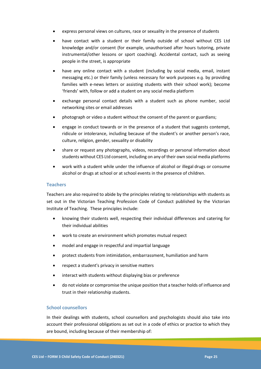- express personal views on cultures, race or sexuality in the presence of students
- have contact with a student or their family outside of school without CES Ltd knowledge and/or consent (for example, unauthorised after hours tutoring, private instrumental/other lessons or sport coaching). Accidental contact, such as seeing people in the street, is appropriate
- have any online contact with a student (including by social media, email, instant messaging etc.) or their family (unless necessary for work purposes e.g. by providing families with e-news letters or assisting students with their school work); become 'friends' with, follow or add a student on any social media platform
- exchange personal contact details with a student such as phone number, social networking sites or email addresses
- photograph or video a student without the consent of the parent or guardians;
- engage in conduct towards or in the presence of a student that suggests contempt, ridicule or intolerance, including because of the student's or another person's race, culture, religion, gender, sexuality or disability
- share or request any photographs, videos, recordings or personal information about students without CES Ltd consent, including on any of their own social media platforms
- work with a student while under the influence of alcohol or illegal drugs or consume alcohol or drugs at school or at school events in the presence of children.

#### **Teachers**

Teachers are also required to abide by the principles relating to relationships with students as set out in the Victorian Teaching Profession Code of Conduct published by the Victorian Institute of Teaching. These principles include:

- knowing their students well, respecting their individual differences and catering for their individual abilities
- work to create an environment which promotes mutual respect
- model and engage in respectful and impartial language
- protect students from intimidation, embarrassment, humiliation and harm
- respect a student's privacy in sensitive matters
- interact with students without displaying bias or preference
- do not violate or compromise the unique position that a teacher holds of influence and trust in their relationship students.

#### **School counsellors**

In their dealings with students, school counsellors and psychologists should also take into account their professional obligations as set out in a code of ethics or practice to which they are bound, including because of their membership of: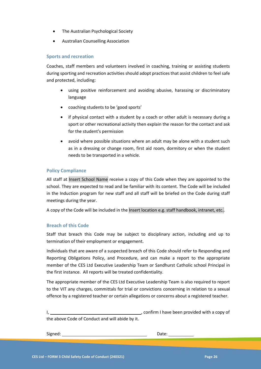- The Australian Psychological Society
- Australian Counselling Association

#### **Sports and recreation**

Coaches, staff members and volunteers involved in coaching, training or assisting students during sporting and recreation activities should adopt practices that assist children to feel safe and protected, including:

- using positive reinforcement and avoiding abusive, harassing or discriminatory language
- coaching students to be 'good sports'
- if physical contact with a student by a coach or other adult is necessary during a sport or other recreational activity then explain the reason for the contact and ask for the student's permission
- avoid where possible situations where an adult may be alone with a student such as in a dressing or change room, first aid room, dormitory or when the student needs to be transported in a vehicle.

#### **Policy Compliance**

All staff at Insert School Name receive a copy of this Code when they are appointed to the school. They are expected to read and be familiar with its content. The Code will be included in the Induction program for new staff and all staff will be briefed on the Code during staff meetings during the year.

A copy of the Code will be included in the Insert location e.g. staff handbook, intranet, etc..

#### **Breach of this Code**

Staff that breach this Code may be subject to disciplinary action, including and up to termination of their employment or engagement.

Individuals that are aware of a suspected breach of this Code should refer to Responding and Reporting Obligations Policy, and Procedure, and can make a report to the appropriate member of the CES Ltd Executive Leadership Team or Sandhurst Catholic school Principal in the first instance. All reports will be treated confidentiality.

The appropriate member of the CES Ltd Executive Leadership Team is also required to report to the VIT any charges, committals for trial or convictions concerning in relation to a sexual offence by a registered teacher or certain allegations or concerns about a registered teacher.

I, 1, 1, 2008) Confirm I have been provided with a copy of the above Code of Conduct and will abide by it.

Signed: Date: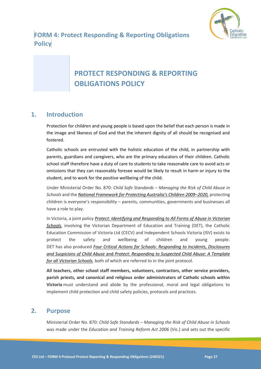

# <span id="page-27-0"></span>**FORM 4: Protect Responding & Reporting Obligations Policy**

# <span id="page-27-1"></span>**PROTECT RESPONDING & REPORTING OBLIGATIONS POLICY**

# **1. Introduction**

Protection for children and young people is based upon the belief that each person is made in the image and likeness of God and that the inherent dignity of all should be recognised and fostered.

Catholic schools are entrusted with the holistic education of the child, in partnership with parents, guardians and caregivers, who are the primary educators of their children. Catholic school staff therefore have a duty of care to students to take reasonable care to avoid acts or omissions that they can reasonably foresee would be likely to result in harm or injury to the student, and to work for the positive wellbeing of the child.

Under Ministerial Order No. 870: *Child Safe Standards – Managing the Risk of Child Abuse in Schools* and the *[National Framework for Protecting Australia's Children 2009–](https://www.dss.gov.au/our-responsibilities/families-and-children/publications-articles/protecting-children-is-everyones-business)2020,* protecting children is everyone's responsibility – parents, communities, governments and businesses all have a role to play.

In Victoria, a joint policy *[Protect: Identifying and Responding to All Forms of Abuse in Victorian](http://www.education.vic.gov.au/Documents/about/programs/health/protect/ChildSafeStandard5_SchoolsGuide.pdf)  [Schools](http://www.education.vic.gov.au/Documents/about/programs/health/protect/ChildSafeStandard5_SchoolsGuide.pdf)*, involving the Victorian Department of Education and Training (DET), the Catholic Education Commission of Victoria Ltd (CECV) and Independent Schools Victoria (ISV) exists to protect the safety and wellbeing of children and young people. DET has also produced *[Four Critical Actions for Schools: Responding to Incidents, Disclosures](http://www.education.vic.gov.au/Documents/about/programs/health/protect/FourCriticalActions_ChildAbuse.pdf)  and [Suspicions of Child Abuse](http://www.education.vic.gov.au/Documents/about/programs/health/protect/FourCriticalActions_ChildAbuse.pdf)* and *[Protect: Responding to Suspected Child Abuse: A Template](http://www.education.vic.gov.au/Documents/about/programs/health/protect/PROTECT_Responding_TemplateSchools.pdf)  [for all Victorian Schools,](http://www.education.vic.gov.au/Documents/about/programs/health/protect/PROTECT_Responding_TemplateSchools.pdf)* both of which are referred to in the joint protocol.

**All teachers, other school staff members, volunteers, contractors, other service providers, parish priests, and canonical and religious order administrators of Catholic schools within Victoria** must understand and abide by the professional, moral and legal obligations to implement child protection and child safety policies, protocols and practices.

### **2. Purpose**

Ministerial Order No. 870: *Child Safe Standards – Managing the Risk of Child Abuse in Schools*  was made under the *Education and Training Reform Act 2006* (Vic.) and sets out the specific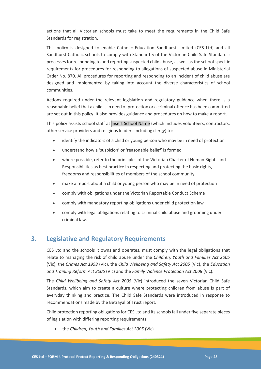actions that all Victorian schools must take to meet the requirements in the Child Safe Standards for registration.

This policy is designed to enable Catholic Education Sandhurst Limited (CES Ltd) and all Sandhurst Catholic schools to comply with Standard 5 of the Victorian Child Safe Standards: processes for responding to and reporting suspected child abuse, as well as the school-specific requirements for procedures for responding to allegations of suspected abuse in Ministerial Order No. 870. All procedures for reporting and responding to an incident of child abuse are designed and implemented by taking into account the diverse characteristics of school communities.

Actions required under the relevant legislation and regulatory guidance when there is a reasonable belief that a child is in need of protection or a criminal offence has been committed are set out in this policy. It also provides guidance and procedures on how to make a report.

This policy assists school staff at Insert School Name (which includes volunteers, contractors, other service providers and religious leaders including clergy) to:

- identify the indicators of a child or young person who may be in need of protection
- understand how a 'suspicion' or 'reasonable belief' is formed
- where possible, refer to the principles of the Victorian Charter of Human Rights and Responsibilities as best practice in respecting and protecting the basic rights, freedoms and responsibilities of members of the school community
- make a report about a child or young person who may be in need of protection
- comply with obligations under the Victorian Reportable Conduct Scheme
- comply with mandatory reporting obligations under child protection law
- comply with legal obligations relating to criminal child abuse and grooming under criminal law.

# **3. Legislative and Regulatory Requirements**

CES Ltd and the schools it owns and operates, must comply with the legal obligations that relate to managing the risk of child abuse under the *Children, Youth and Families Act 2005* (Vic), the *Crimes Act 1958* (Vic), the *Child Wellbeing and Safety Act 2005* (Vic), the *Education and Training Reform Act 2006* (Vic) and the *Family Violence Protection Act 2008* (Vic).

The *Child Wellbeing and Safety Act 2005* (Vic) introduced the seven Victorian Child Safe Standards, which aim to create a culture where protecting children from abuse is part of everyday thinking and practice. The Child Safe Standards were introduced in response to recommendations made by the Betrayal of Trust report.

Child protection reporting obligations for CES Ltd and its schools fall under five separate pieces of legislation with differing reporting requirements:

• the *Children, Youth and Families Act 2005* (Vic)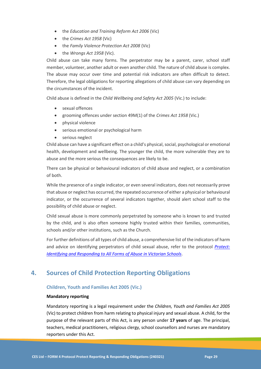- the *Education and Training Reform Act 2006* (Vic)
- the *Crimes Act 1958* (Vic)
- the *Family Violence Protection Act 2008* (Vic)
- the *Wrongs Act 1958* (Vic).

Child abuse can take many forms. The perpetrator may be a parent, carer, school staff member, volunteer, another adult or even another child. The nature of child abuse is complex. The abuse may occur over time and potential risk indicators are often difficult to detect. Therefore, the legal obligations for reporting allegations of child abuse can vary depending on the circumstances of the incident.

Child abuse is defined in the *Child Wellbeing and Safety Act 2005* (Vic.) to include:

- sexual offences
- grooming offences under section 49M(1) of the *Crimes Act 1958* (Vic.)
- physical violence
- serious emotional or psychological harm
- serious neglect

Child abuse can have a significant effect on a child's physical, social, psychological or emotional health, development and wellbeing. The younger the child, the more vulnerable they are to abuse and the more serious the consequences are likely to be.

There can be physical or behavioural indicators of child abuse and neglect, or a combination of both.

While the presence of a single indicator, or even several indicators, does not necessarily prove that abuse or neglect has occurred, the repeated occurrence of either a physical or behavioural indicator, or the occurrence of several indicators together, should alert school staff to the possibility of child abuse or neglect.

Child sexual abuse is more commonly perpetrated by someone who is known to and trusted by the child, and is also often someone highly trusted within their families, communities, schools and/or other institutions, such as the Church.

For further definitions of all types of child abuse, a comprehensive list of the indicators of harm and advice on identifying perpetrators of child sexual abuse, refer to the protocol *[Protect:](https://www.education.vic.gov.au/Documents/about/programs/health/protect/ChildSafeStandard5_SchoolsGuide.pdf)  [Identifying and Responding to All Forms](https://www.education.vic.gov.au/Documents/about/programs/health/protect/ChildSafeStandard5_SchoolsGuide.pdf) of Abuse in Victorian Schools*.

# **4. Sources of Child Protection Reporting Obligations**

#### **Children, Youth and Families Act 2005 (Vic.)**

#### **Mandatory reporting**

Mandatory reporting is a legal requirement under the *Children, Youth and Families Act 2005* (Vic) to protect children from harm relating to physical injury and sexual abuse. A child, for the purpose of the relevant parts of this Act, is any person under **17 years** of age. The principal, teachers, medical practitioners, religious clergy, school counsellors and nurses are mandatory reporters under this Act.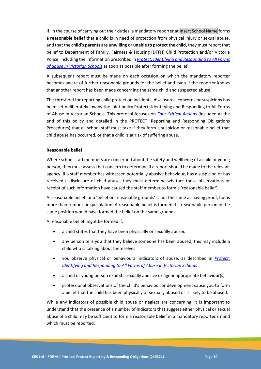If, in the course of carrying out their duties, a mandatory reporter at Insert School Name forms a **reasonable belief** that a child is in need of protection from physical injury or sexual abuse, and that the **child's parents are unwilling or unable to protect the child,** they must report that belief to Department of Family, Fairness & Housing (DFFH) Child Protection and/or Victoria Police, including the information prescribed in *[Protect: Identifying and Responding to All Forms](https://www.education.vic.gov.au/Documents/about/programs/health/protect/ChildSafeStandard5_SchoolsGuide.pdf)  [of abuse in Victorian Schools](https://www.education.vic.gov.au/Documents/about/programs/health/protect/ChildSafeStandard5_SchoolsGuide.pdf)* as soon as possible after forming the belief.

A subsequent report must be made on each occasion on which the mandatory reporter becomes aware of further reasonable grounds for the belief and even if the reporter knows that another report has been made concerning the same child and suspected abuse.

The threshold for reporting child protection incidents, disclosures, concerns or suspicions has been set deliberately low by the joint policy Protect: Identifying and Responding to All Forms of Abuse in Victorian Schools. This protocol focuses on *[Four Critical Actions](https://www.education.vic.gov.au/Documents/about/programs/health/protect/FourCriticalActions_ChildAbuse.pdf)* (included at the end of this policy and detailed in the PROTECT: Reporting and Responding Obligations Procedures) that all school staff must take if they form a suspicion or reasonable belief that child abuse has occurred, or that a child is at risk of suffering abuse.

#### **Reasonable belief**

Where school staff members are concerned about the safety and wellbeing of a child or young person, they must assess that concern to determine if a report should be made to the relevant agency. If a staff member has witnessed potentially abusive behaviour, has a suspicion or has received a disclosure of child abuse, they must determine whether these observations or receipt of such information have caused the staff member to form a 'reasonable belief'.

A 'reasonable belief' or a 'belief on reasonable grounds' is not the same as having proof, but is more than rumour or speculation. A reasonable belief is formed if a reasonable person in the same position would have formed the belief on the same grounds.

A reasonable belief might be formed if:

- a child states that they have been physically or sexually abused
- any person tells you that they believe someone has been abused; this may include a child who is talking about themselves
- you observe physical or behavioural indicators of abuse, as described in *[Protect:](https://www.education.vic.gov.au/Documents/about/programs/health/protect/ChildSafeStandard5_SchoolsGuide.pdf)  [Identifying and Responding to All Forms of Abuse in Victorian Schools](https://www.education.vic.gov.au/Documents/about/programs/health/protect/ChildSafeStandard5_SchoolsGuide.pdf)*
- a child or young person exhibits sexually abusive or age-inappropriate behaviour(s)
- professional observations of the child's behaviour or development cause you to form a belief that the child has been physically or sexually abused or is likely to be abused.

While any indicators of possible child abuse or neglect are concerning, it is important to understand that the presence of a number of indicators that suggest either physical or sexual abuse of a child may be sufficient to form a reasonable belief in a mandatory reporter's mind which must be reported.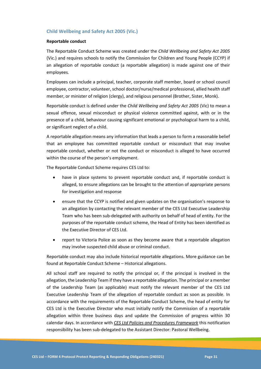#### **Child Wellbeing and Safety Act 2005 (Vic.)**

#### **Reportable conduct**

The Reportable Conduct Scheme was created under the *Child Wellbeing and Safety Act 2005* (Vic.) and requires schools to notify the Commission for Children and Young People (CCYP) if an allegation of reportable conduct (a reportable allegation) is made against one of their employees.

Employees can include a principal, teacher, corporate staff member, board or school council employee, contractor, volunteer, school doctor/nurse/medical professional, allied health staff member, or minister of religion (clergy), and religious personnel (Brother, Sister, Monk).

Reportable conduct is defined under the *Child Wellbeing and Safety Act 2005* (Vic) to mean a sexual offence, sexual misconduct or physical violence committed against, with or in the presence of a child, behaviour causing significant emotional or psychological harm to a child, or significant neglect of a child.

A reportable allegation means any information that leads a person to form a reasonable belief that an employee has committed reportable conduct or misconduct that may involve reportable conduct, whether or not the conduct or misconduct is alleged to have occurred within the course of the person's employment.

The Reportable Conduct Scheme requires CES Ltd to:

- have in place systems to prevent reportable conduct and, if reportable conduct is alleged, to ensure allegations can be brought to the attention of appropriate persons for investigation and response
- ensure that the CCYP is notified and given updates on the organisation's response to an allegation by contacting the relevant member of the CES Ltd Executive Leadership Team who has been sub-delegated with authority on behalf of head of entity. For the purposes of the reportable conduct scheme, the Head of Entity has been identified as the Executive Director of CES Ltd.
- report to Victoria Police as soon as they become aware that a reportable allegation may involve suspected child abuse or criminal conduct.

Reportable conduct may also include historical reportable allegations. More guidance can be found at Reportable Conduct Scheme – Historical allegations.

All school staff are required to notify the principal or, if the principal is involved in the allegation, the Leadership Team if they have a reportable allegation. The principal or a member of the Leadership Team (as applicable) must notify the relevant member of the CES Ltd Executive Leadership Team of the allegation of reportable conduct as soon as possible. In accordance with the requirements of the Reportable Conduct Scheme, the head of entity for CES Ltd is the Executive Director who must initially notify the Commission of a reportable allegation within three business days and update the Commission of progress within 30 calendar days. In accordance with *CES Ltd Policies and Procedures Framework* this notification responsibility has been sub-delegated to the Assistant Director: Pastoral Wellbeing.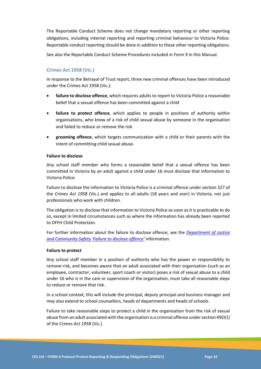The Reportable Conduct Scheme does not change mandatory reporting or other reporting obligations, including internal reporting and reporting criminal behaviour to Victoria Police. Reportable conduct reporting should be done in addition to these other reporting obligations.

See also the Reportable Conduct Scheme Procedures included in Form 9 in this Manual.

#### **Crimes Act 1958 (Vic.)**

In response to the Betrayal of Trust report, three new criminal offences have been introduced under the Crimes Act 1958 (Vic.):

- **failure to disclose offence**, which requires adults to report to Victoria Police a reasonable belief that a sexual offence has been committed against a child
- failure to protect offence, which applies to people in positions of authority within organisations, who knew of a risk of child sexual abuse by someone in the organisation and failed to reduce or remove the risk
- **grooming offence**, which targets communication with a child or their parents with the intent of committing child sexual abuse.

#### **Failure to disclose**

Any school staff member who forms a reasonable belief that a sexual offence has been committed in Victoria by an adult against a child under 16 must disclose that information to Victoria Police.

Failure to disclose the information to Victoria Police is a criminal offence under section 327 of the *Crimes Act 1958* (Vic.) and applies to all adults (18 years and over) in Victoria, not just professionals who work with children.

The obligation is to disclose that information to Victoria Police as soon as it is practicable to do so, except in limited circumstances such as where the information has already been reported to DFFH Child Protection.

For further information about the failure to disclose offence, see the *[Department of Justice](https://www.justice.vic.gov.au/safer-communities/protecting-children-and-families/failure-to-disclose-offence)  [and Community Safety 'Failure to disclose offence'](https://www.justice.vic.gov.au/safer-communities/protecting-children-and-families/failure-to-disclose-offence)* information.

#### **Failure to protect**

Any school staff member in a position of authority who has the power or responsibility to remove risk, and becomes aware that an adult associated with their organisation (such as an employee, contractor, volunteer, sport coach or visitor) poses a risk of sexual abuse to a child under 16 who is in the care or supervision of the organisation, must take all reasonable steps to reduce or remove that risk.

In a school context, this will include the principal, deputy principal and business manager and may also extend to school counsellors, heads of departments and heads of schools.

Failure to take reasonable steps to protect a child in the organisation from the risk of sexual abuse from an adult associated with the organisation is a criminal offence under section 49O(1) of the *Crimes Act 1958* (Vic.)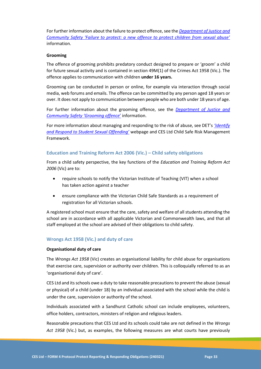For further information about the failure to protect offence, see the *[Department of Justice and](https://www.justice.vic.gov.au/safer-communities/protecting-children-and-families/failure-to-protect-a-new-criminal-offence-to)  [Community Safety 'Failure to protect: a new offence to protect children from sexual abuse'](https://www.justice.vic.gov.au/safer-communities/protecting-children-and-families/failure-to-protect-a-new-criminal-offence-to)* information.

#### **Grooming**

The offence of grooming prohibits predatory conduct designed to prepare or 'groom' a child for future sexual activity and is contained in section 49M(1) of the Crimes Act 1958 (Vic.). The offence applies to communication with children **under 16 years.**

Grooming can be conducted in person or online, for example via interaction through social media, web forums and emails. The offence can be committed by any person aged 18 years or over. It does not apply to communication between people who are both under 18 years of age.

For further information about the grooming offence, see the *[Department of Justice and](https://www.justice.vic.gov.au/safer-communities/protecting-children-and-families/grooming-offence)  [Community Safety 'Grooming offence](https://www.justice.vic.gov.au/safer-communities/protecting-children-and-families/grooming-offence)*' information.

For more information about managing and responding to the risk of abuse, see DET's *['Identify](https://www.education.vic.gov.au/school/teachers/health/childprotection/Pages/stusexual.aspx)  [and Respond to Student Sexual Offending'](https://www.education.vic.gov.au/school/teachers/health/childprotection/Pages/stusexual.aspx)* webpage and CES Ltd Child Safe Risk Management Framework.

#### **Education and Training Reform Act 2006 (Vic.) – Child safety obligations**

From a child safety perspective, the key functions of the *Education and Training Reform Act 2006* (Vic) are to:

- require schools to notify the Victorian Institute of Teaching (VIT) when a school has taken action against a teacher
- ensure compliance with the Victorian Child Safe Standards as a requirement of registration for all Victorian schools.

A registered school must ensure that the care, safety and welfare of all students attending the school are in accordance with all applicable Victorian and Commonwealth laws, and that all staff employed at the school are advised of their obligations to child safety.

#### **Wrongs Act 1958 (Vic.) and duty of care**

#### **Organisational duty of care**

The *Wrongs Act 1958* (Vic) creates an organisational liability for child abuse for organisations that exercise care, supervision or authority over children. This is colloquially referred to as an 'organisational duty of care'.

CES Ltd and its schools owe a duty to take reasonable precautions to prevent the abuse (sexual or physical) of a child (under 18) by an individual associated with the school while the child is under the care, supervision or authority of the school.

Individuals associated with a Sandhurst Catholic school can include employees, volunteers, office holders, contractors, ministers of religion and religious leaders.

Reasonable precautions that CES Ltd and its schools could take are not defined in the *Wrongs Act 1958* (Vic.) but, as examples, the following measures are what courts have previously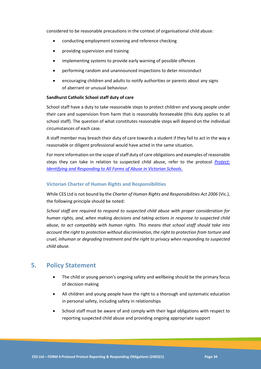considered to be reasonable precautions in the context of organisational child abuse:

- conducting employment screening and reference checking
- providing supervision and training
- implementing systems to provide early warning of possible offences
- performing random and unannounced inspections to deter misconduct
- encouraging children and adults to notify authorities or parents about any signs of aberrant or unusual behaviour.

#### **Sandhurst Catholic School staff duty of care**

School staff have a duty to take reasonable steps to protect children and young people under their care and supervision from harm that is reasonably foreseeable (this duty applies to all school staff). The question of what constitutes reasonable steps will depend on the individual circumstances of each case.

A staff member may breach their duty of care towards a student if they fail to act in the way a reasonable or diligent professional would have acted in the same situation.

For more information on the scope of staff duty of care obligations and examples of reasonable steps they can take in relation to suspected child abuse, refer to the protocol *[Protect:](https://www.education.vic.gov.au/Documents/about/programs/health/protect/ChildSafeStandard5_SchoolsGuide.pdf)  [Identifying and Responding to All Forms of Abuse in Victorian Schools](https://www.education.vic.gov.au/Documents/about/programs/health/protect/ChildSafeStandard5_SchoolsGuide.pdf)*.

#### **Victorian Charter of Human Rights and Responsibilities**

While CES Ltd is not bound by the *Charter of Human Rights and Responsibilities Act 2006* (Vic.), the following principle should be noted:

*School staff are required to respond to suspected child abuse with proper consideration for human rights, and, when making decisions and taking actions in response to suspected child abuse, to act compatibly with human rights. This means that school staff should take into account the right to protection without discrimination, the right to protection from torture and cruel, inhuman or degrading treatment and the right to privacy when responding to suspected child abuse.*

# **5. Policy Statement**

- The child or young person's ongoing safety and wellbeing should be the primary focus of decision making
- All children and young people have the right to a thorough and systematic education in personal safety, including safety in relationships
- School staff must be aware of and comply with their legal obligations with respect to reporting suspected child abuse and providing ongoing appropriate support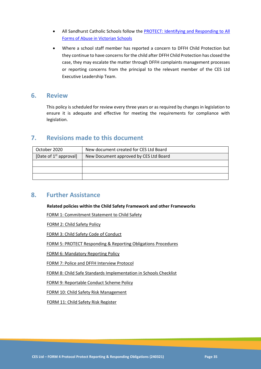- All Sandhurst Catholic Schools follow the **PROTECT: Identifying and Responding to All** [Forms of Abuse in Victorian Schools](https://www.education.vic.gov.au/Documents/about/programs/health/protect/ChildSafeStandard5_SchoolsGuide.pdf)
- Where a school staff member has reported a concern to DFFH Child Protection but they continue to have concerns for the child after DFFH Child Protection has closed the case, they may escalate the matter through DFFH complaints management processes or reporting concerns from the principal to the relevant member of the CES Ltd Executive Leadership Team.

### **6. Review**

This policy is scheduled for review every three years or as required by changes in legislation to ensure it is adequate and effective for meeting the requirements for compliance with legislation.

# **7. Revisions made to this document**

| October 2020             | New document created for CES Ltd Board |
|--------------------------|----------------------------------------|
| [Date of $1st$ approval] | New Document approved by CES Ltd Board |
|                          |                                        |
|                          |                                        |
|                          |                                        |

# **8. Further Assistance**

**Related policies within the Child Safety Framework and other Frameworks**

[FORM 1: Commitment Statement to Child Safety](#page-14-1)

[FORM 2: Child Safety Policy](#page-16-1)

[FORM 3: Child Safety Code of Conduct](#page-21-1) 

[FORM 5: PROTECT Responding & Reporting Obligations](#page-37-1) Procedures

[FORM 6: Mandatory Reporting](#page-42-1) Policy

[FORM 7: Police and DFFH Interview Protocol](#page-20-0)

[FORM 8: Child Safe Standards Implementation in Schools Checklist](#page-53-1)

[FORM 9: Reportable Conduct Scheme](#page-61-1) Policy

[FORM 10: Child Safety Risk Management](#page-67-1)

FORM 11: Child Safety Risk Register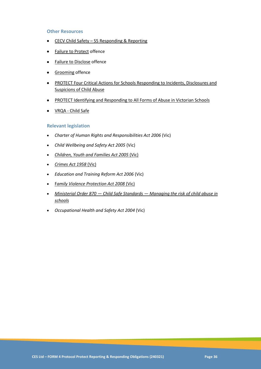### **Other Resources**

- CECV Child Safety [S5 Responding & Reporting](https://cevn.cecv.catholic.edu.au/Melb/Child-Safety/CSS/CSS5)
- [Failure to Protect](https://www.justice.vic.gov.au/safer-communities/protecting-children-and-families/failure-to-protect-a-new-criminal-offence-to) offence
- [Failure to Disclose](https://www.justice.vic.gov.au/safer-communities/protecting-children-and-families/failure-to-disclose-offence) offence
- [Grooming](https://www.justice.vic.gov.au/safer-communities/protecting-children-and-families/grooming-offence) offence
- [PROTECT Four Critical Actions for Schools Responding to Incidents, Disclosures and](https://www.education.vic.gov.au/Documents/about/programs/health/protect/FourCriticalActions_ChildAbuse.pdf)  [Suspicions of Child Abuse](https://www.education.vic.gov.au/Documents/about/programs/health/protect/FourCriticalActions_ChildAbuse.pdf)
- [PROTECT Identifying and Responding to All Forms of Abuse in Victorian Schools](https://www.education.vic.gov.au/Documents/about/programs/health/protect/ChildSafeStandard5_SchoolsGuide.pdf)
- VRQA [Child Safe](https://www.vrqa.vic.gov.au/childsafe/Pages/Home.aspx)

### **Relevant legislation**

- *[Charter of Human Rights and Responsibilities Act 2006](https://www.legislation.vic.gov.au/in-force/acts/charter-human-rights-and-responsibilities-act-2006)* (Vic)
- *[Child Wellbeing and Safety Act 2005](https://www.legislation.vic.gov.au/in-force/acts/child-wellbeing-and-safety-act-2005)* (Vic)
- *[Children, Youth and Families Act 2005](http://www8.austlii.edu.au/cgi-bin/viewdb/au/legis/vic/consol_act/cyafa2005252/)* (Vic)
- *[Crimes Act 1958](https://www.legislation.vic.gov.au/in-force/acts/crimes-act-1958/292)* (Vic)
- *[Education and Training Reform Act 2006](https://www.legislation.vic.gov.au/in-force/acts/education-and-training-reform-act-2006)* (Vic)
- F*[amily Violence Protection Act 2008](https://www.legislation.vic.gov.au/in-force/acts/family-violence-protection-act-2008/052)* (Vic)
- *Ministerial Order 870 — Child Safe Standards — [Managing the risk of child abuse in](http://www.gazette.vic.gov.au/gazette/Gazettes2016/GG2016S002.pdf)  [schools](http://www.gazette.vic.gov.au/gazette/Gazettes2016/GG2016S002.pdf)*
- *[Occupational Health and Safety Act 2004](https://www.legislation.vic.gov.au/in-force/acts/occupational-health-and-safety-act-2004)* (Vic)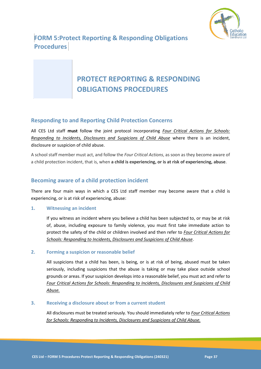

**FORM 5:Protect Reporting & Responding Obligations Procedures** 

# <span id="page-37-0"></span>**PROTECT REPORTING & RESPONDING OBLIGATIONS PROCEDURES**

### **Responding to and Reporting Child Protection Concerns**

All CES Ltd staff **must** follow the joint protocol incorporating *[Four Critical Actions for Schools:](https://www.education.vic.gov.au/Documents/about/programs/health/protect/FourCriticalActions_ChildAbuse.pdf)  [Responding to Incidents, Disclosures and Suspicions of Child Abuse](https://www.education.vic.gov.au/Documents/about/programs/health/protect/FourCriticalActions_ChildAbuse.pdf)* where there is an incident, disclosure or suspicion of child abuse.

A school staff member must act, and follow the *Four Critical Actions*, as soon as they become aware of a child protection incident, that is, when **a child is experiencing, or is at risk of experiencing, abuse**.

### **Becoming aware of a child protection incident**

There are four main ways in which a CES Ltd staff member may become aware that a child is experiencing, or is at risk of experiencing, abuse:

### **1. Witnessing an incident**

If you witness an incident where you believe a child has been subjected to, or may be at risk of, abuse, including exposure to family violence, you must first take immediate action to protect the safety of the child or children involved and then refer to *[Four Critical Actions for](https://www.education.vic.gov.au/Documents/about/programs/health/protect/FourCriticalActions_ChildAbuse.pdf)  [Schools: Responding to Incidents, Disclosures and Suspicions of Child Abuse](https://www.education.vic.gov.au/Documents/about/programs/health/protect/FourCriticalActions_ChildAbuse.pdf)*.

### **2. Forming a suspicion or reasonable belief**

All suspicions that a child has been, is being, or is at risk of being, abused must be taken seriously, including suspicions that the abuse is taking or may take place outside school grounds or areas. If your suspicion develops into a reasonable belief, you must act and refer to *[Four Critical Actions for Schools: Responding to Incidents, Disclosures and Suspicions of Child](https://www.education.vic.gov.au/Documents/about/programs/health/protect/FourCriticalActions_ChildAbuse.pdf)  [Abuse.](https://www.education.vic.gov.au/Documents/about/programs/health/protect/FourCriticalActions_ChildAbuse.pdf)*

### **3. Receiving a disclosure about or from a current student**

All disclosures must be treated seriously. You should immediately refer to *[Four Critical Actions](https://www.education.vic.gov.au/Documents/about/programs/health/protect/FourCriticalActions_ChildAbuse.pdf)  [for Schools: Responding to Incidents, Disclosures and Suspicions of Child Abuse.](https://www.education.vic.gov.au/Documents/about/programs/health/protect/FourCriticalActions_ChildAbuse.pdf)*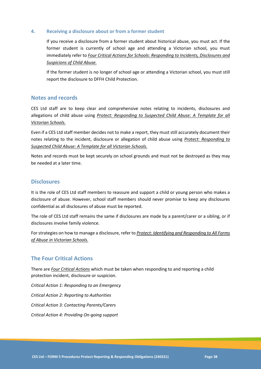### **4. Receiving a disclosure about or from a former student**

If you receive a disclosure from a former student about historical abuse, you must act. If the former student is currently of school age and attending a Victorian school, you must immediately refer to *[Four Critical Actions for Schools: Responding to Incidents, Disclosures and](https://www.education.vic.gov.au/Documents/about/programs/health/protect/FourCriticalActions_ChildAbuse.pdf)  [Suspicions of Child Abuse.](https://www.education.vic.gov.au/Documents/about/programs/health/protect/FourCriticalActions_ChildAbuse.pdf)*

If the former student is no longer of school age or attending a Victorian school, you must still report the disclosure to DFFH Child Protection.

### **Notes and records**

CES Ltd staff are to keep clear and comprehensive notes relating to incidents, disclosures and allegations of child abuse using *[Protect: Responding to Suspected Child Abuse: A Template for all](https://www.education.vic.gov.au/Documents/about/programs/health/protect/PROTECT_Schoolstemplate.pdf)  [Victorian Schools.](https://www.education.vic.gov.au/Documents/about/programs/health/protect/PROTECT_Schoolstemplate.pdf)*

Even if a CES Ltd staff member decides not to make a report, they must still accurately document their notes relating to the incident, disclosure or allegation of child abuse using *[Protect: Responding to](https://www.education.vic.gov.au/Documents/about/programs/health/protect/PROTECT_Schoolstemplate.pdf)  [Suspected Child Abuse: A Template for all Victorian Schools.](https://www.education.vic.gov.au/Documents/about/programs/health/protect/PROTECT_Schoolstemplate.pdf)*

Notes and records must be kept securely on school grounds and must not be destroyed as they may be needed at a later time.

### **Disclosures**

It is the role of CES Ltd staff members to reassure and support a child or young person who makes a disclosure of abuse. However, school staff members should never promise to keep any disclosures confidential as all disclosures of abuse must be reported.

The role of CES Ltd staff remains the same if disclosures are made by a parent/carer or a sibling, or if disclosures involve family violence.

For strategies on how to manage a disclosure, refer to *[Protect: Identifying and Responding to All Forms](https://www.education.vic.gov.au/Documents/about/programs/health/protect/ChildSafeStandard5_SchoolsGuide.pdf)  [of Abuse in Victorian Schools.](https://www.education.vic.gov.au/Documents/about/programs/health/protect/ChildSafeStandard5_SchoolsGuide.pdf)*

### **The Four Critical Actions**

There are *[Four Critical Actions](https://www.education.vic.gov.au/Documents/about/programs/health/protect/FourCriticalActions_ChildAbuse.pdf)* which must be taken when responding to and reporting a child protection incident, disclosure or suspicion.

*Critical Action 1: Responding to an Emergency*

*Critical Action 2: Reporting to Authorities*

*Critical Action 3: Contacting Parents/Carers*

*Critical Action 4: Providing On-going support*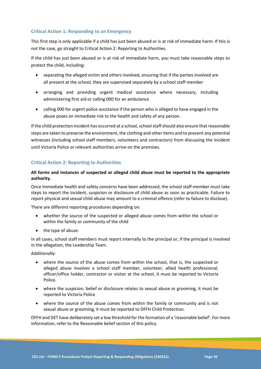### **Critical Action 1: Responding to an Emergency**

This first step is only applicable if a child has just been abused or is at risk of immediate harm. If this is not the case, go straight to Critical Action 2: Reporting to Authorities.

If the child has just been abused or is at risk of immediate harm, you must take reasonable steps to protect the child, including:

- separating the alleged victim and others involved, ensuring that if the parties involved are all present at the school, they are supervised separately by a school staff member
- arranging and providing urgent medical assistance where necessary, including administering first aid or calling 000 for an ambulance
- calling 000 for urgent police assistance if the person who is alleged to have engaged in the abuse poses an immediate risk to the health and safety of any person.

If the child protection incident has occurred at a school, school staff should also ensure that reasonable steps are taken to preserve the environment, the clothing and other items and to prevent any potential witnesses (including school staff members, volunteers and contractors) from discussing the incident until Victoria Police or relevant authorities arrive on the premises.

### **Critical Action 2: Reporting to Authorities**

### **All forms and instances of suspected or alleged child abuse must be reported to the appropriate authority.**

Once immediate health and safety concerns have been addressed, the school staff member must take steps to report the incident, suspicion or disclosure of child abuse as soon as practicable. Failure to report physical and sexual child abuse may amount to a criminal offence (refer to failure to disclose).

There are different reporting procedures depending on:

- whether the source of the suspected or alleged abuse comes from within the school or within the family or community of the child
- the type of abuse.

In all cases, school staff members must report internally to the principal or, if the principal is involved in the allegation, the Leadership Team.

Additionally:

- where the source of the abuse comes from within the school, that is, the suspected or alleged abuse involves a school staff member, volunteer, allied health professional, officer/office holder, contractor or visitor at the school, it must be reported to Victoria Police.
- where the suspicion, belief or disclosure relates to sexual abuse or grooming, it must be reported to Victoria Police
- where the source of the abuse comes from within the family or community and is not sexual abuse or grooming, it must be reported to DFFH Child Protection.

DFFH and DET have deliberately set a low threshold for the formation of a 'reasonable belief'. For more information, refer to the Reasonable belief section of this policy.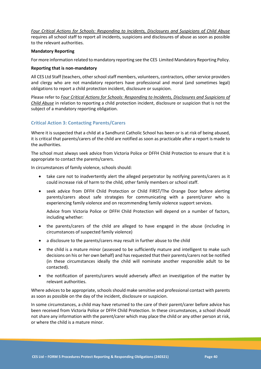*[Four Critical Actions for Schools: Responding to Incidents, Disclosures and Suspicions of Child Abuse](https://www.education.vic.gov.au/Documents/about/programs/health/protect/FourCriticalActions_ChildAbuse.pdf)* requires all school staff to report all incidents, suspicions and disclosures of abuse as soon as possible to the relevant authorities.

### **Mandatory Reporting**

For more information related to mandatory reporting see the CES Limited Mandatory Reporting Policy.

#### **Reporting that is non-mandatory**

All CES Ltd Staff (teachers, other school staff members, volunteers, contractors, other service providers and clergy who are not mandatory reporters have professional and moral (and sometimes legal) obligations to report a child protection incident, disclosure or suspicion.

Please refer to *[Four Critical Actions for Schools: Responding to Incidents, Disclosures and Suspicions of](https://www.education.vic.gov.au/Documents/about/programs/health/protect/FourCriticalActions_ChildAbuse.pdf)  [Child Abuse](https://www.education.vic.gov.au/Documents/about/programs/health/protect/FourCriticalActions_ChildAbuse.pdf)* in relation to reporting a child protection incident, disclosure or suspicion that is not the subject of a mandatory reporting obligation.

### **Critical Action 3: Contacting Parents/Carers**

Where it is suspected that a child at a Sandhurst Catholic School has been or is at risk of being abused, it is critical that parents/carers of the child are notified as soon as practicable after a report is made to the authorities.

The school must always seek advice from Victoria Police or DFFH Child Protection to ensure that it is appropriate to contact the parents/carers.

In circumstances of family violence, schools should:

- take care not to inadvertently alert the alleged perpetrator by notifying parents/carers as it could increase risk of harm to the child, other family members or school staff.
- seek advice from DFFH Child Protection or Child FIRST/The Orange Door before alerting parents/carers about safe strategies for communicating with a parent/carer who is experiencing family violence and on recommending family violence support services.

Advice from Victoria Police or DFFH Child Protection will depend on a number of factors, including whether:

- the parents/carers of the child are alleged to have engaged in the abuse (including in circumstances of suspected family violence)
- a disclosure to the parents/carers may result in further abuse to the child
- the child is a mature minor (assessed to be sufficiently mature and intelligent to make such decisions on his or her own behalf) and has requested that their parents/carers not be notified (in these circumstances ideally the child will nominate another responsible adult to be contacted).
- the notification of parents/carers would adversely affect an investigation of the matter by relevant authorities.

Where advices to be appropriate, schools should make sensitive and professional contact with parents as soon as possible on the day of the incident, disclosure or suspicion.

In some circumstances, a child may have returned to the care of their parent/carer before advice has been received from Victoria Police or DFFH Child Protection. In these circumstances, a school should not share any information with the parent/carer which may place the child or any other person at risk, or where the child is a mature minor.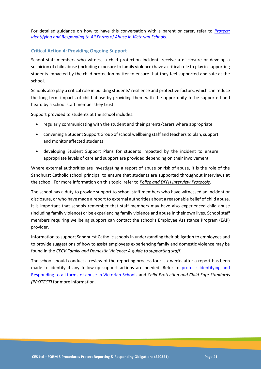For detailed guidance on how to have this conversation with a parent or carer, refer to *[Protect:](https://www.education.vic.gov.au/Documents/about/programs/health/protect/ChildSafeStandard5_SchoolsGuide.pdf)  [Identifying and Responding to All Forms of Abuse in Victorian Schools](https://www.education.vic.gov.au/Documents/about/programs/health/protect/ChildSafeStandard5_SchoolsGuide.pdf)*.

### **Critical Action 4: Providing Ongoing Support**

School staff members who witness a child protection incident, receive a disclosure or develop a suspicion of child abuse (including exposure to family violence) have a critical role to play in supporting students impacted by the child protection matter to ensure that they feel supported and safe at the school.

Schools also play a critical role in building students' resilience and protective factors, which can reduce the long-term impacts of child abuse by providing them with the opportunity to be supported and heard by a school staff member they trust.

Support provided to students at the school includes:

- regularly communicating with the student and their parents/carers where appropriate
- convening a Student Support Group of school wellbeing staff and teachers to plan, support and monitor affected students
- developing Student Support Plans for students impacted by the incident to ensure appropriate levels of care and support are provided depending on their involvement.

Where external authorities are investigating a report of abuse or risk of abuse, it is the role of the Sandhurst Catholic school principal to ensure that students are supported throughout interviews at the school. For more information on this topic, refer to *Police and DFFH Interview Protocols*.

The school has a duty to provide support to school staff members who have witnessed an incident or disclosure, or who have made a report to external authorities about a reasonable belief of child abuse. It is important that schools remember that staff members may have also experienced child abuse (including family violence) or be experiencing family violence and abuse in their own lives. School staff members requiring wellbeing support can contact the school's Employee Assistance Program (EAP) provider.

Information to support Sandhurst Catholic schools in understanding their obligation to employees and to provide suggestions of how to assist employees experiencing family and domestic violence may be found in the *[CECV Family and Domestic Violence: A guide to supporting staff](https://cevn.cecv.catholic.edu.au/COMS/2018/20180525/Family-and-Domestic-Violence-A-Guide-to-Supportin)*.

The school should conduct a review of the reporting process four–six weeks after a report has been made to identify if any follow-up support actions are needed. Refer to protect: Identifying and [Responding to all forms of abuse in Victorian Schools](protect:%20Identifying%20and%20Responding%20to%20all%20forms%20of%20abuse%20in%20Victorian%20Schools) and *[Child Protection and Child Safe Standards](https://www.education.vic.gov.au/school/teachers/health/childprotection/Pages/default.aspx)  [\(PROTECT\)](https://www.education.vic.gov.au/school/teachers/health/childprotection/Pages/default.aspx)* for more information.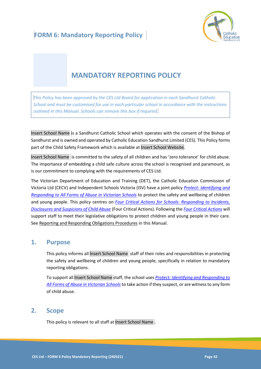

# <span id="page-42-0"></span>**MANDATORY REPORTING POLICY**

*This Policy has been approved by the CES Ltd Board for application in each Sandhurst Catholic School and must be customised for use in each particular school in accordance with the instructions outlined in this Manual. Schools can remove this box if required.*

Insert School Name is a Sandhurst Catholic School which operates with the consent of the Bishop of Sandhurst and is owned and operated by Catholic Education Sandhurst Limited (CES). This Policy forms part of the Child Safety Framework which is available at Insert School Website.

Insert School Name is committed to the safety of all children and has 'zero tolerance' for child abuse. The importance of embedding a child safe culture across the school is recognised and paramount, as is our commitment to complying with the requirements of CES Ltd.

The Victorian Department of Education and Training (DET), the Catholic Education Commission of Victoria Ltd (CECV) and Independent Schools Victoria (ISV) have a joint policy *[Protect: Identifying and](https://www.education.vic.gov.au/Documents/about/programs/health/protect/ChildSafeStandard5_SchoolsGuide.pdf)  [Responding to All Forms of Abuse in Victorian Schools](https://www.education.vic.gov.au/Documents/about/programs/health/protect/ChildSafeStandard5_SchoolsGuide.pdf)* to protect the safety and wellbeing of children and young people. This policy centres on *Four Critical Actions for Schools: Responding to Incidents, Disclosures and Suspicions of Child Abuse* (Four Critical Actions). Following the *Four Critical Actions* will support staff to meet their legislative obligations to protect children and young people in their care. See Reporting and Responding Obligations Procedures in this Manual.

### **1. Purpose**

This policy informs all Insert School Name staff of their roles and responsibilities in protecting the safety and wellbeing of children and young people, specifically in relation to mandatory reporting obligations.

To support all Insert School Name staff, the school uses *[Protect: Identifying and Responding to](https://www.education.vic.gov.au/Documents/about/programs/health/protect/ChildSafeStandard5_SchoolsGuide.pdf)  [All Forms of Abuse in Victorian Schools](https://www.education.vic.gov.au/Documents/about/programs/health/protect/ChildSafeStandard5_SchoolsGuide.pdf)*to take action if they suspect, or are witness to any form of child abuse.

# **2. Scope**

This policy is relevant to all staff at Insert School Name .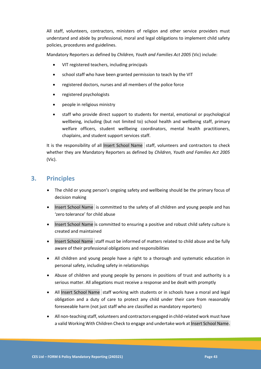All staff, volunteers, contractors, ministers of religion and other service providers must understand and abide by professional, moral and legal obligations to implement child safety policies, procedures and guidelines.

Mandatory Reporters as defined by *Children, Youth and Families Act 2005* (Vic) include:

- VIT registered teachers, including principals
- school staff who have been granted permission to teach by the VIT
- registered doctors, nurses and all members of the police force
- registered psychologists
- people in religious ministry
- staff who provide direct support to students for mental, emotional or psychological wellbeing, including (but not limited to) school health and wellbeing staff, primary welfare officers, student wellbeing coordinators, mental health practitioners, chaplains, and student support services staff.

It is the responsibility of all Insert School Name staff, volunteers and contractors to check whether they are Mandatory Reporters as defined by *Children, Youth and Families Act 2005* (Vic).

# **3. Principles**

- The child or young person's ongoing safety and wellbeing should be the primary focus of decision making
- Insert School Name is committed to the safety of all children and young people and has 'zero tolerance' for child abuse
- Insert School Name is committed to ensuring a positive and robust child safety culture is created and maintained
- Insert School Name staff must be informed of matters related to child abuse and be fully aware of their professional obligations and responsibilities
- All children and young people have a right to a thorough and systematic education in personal safety, including safety in relationships
- Abuse of children and young people by persons in positions of trust and authority is a serious matter. All allegations must receive a response and be dealt with promptly
- All Insert School Name staff working with students or in schools have a moral and legal obligation and a duty of care to protect any child under their care from reasonably foreseeable harm (not just staff who are classified as mandatory reporters)
- All non-teaching staff, volunteers and contractors engaged in child-related work must have a valid Working With Children Check to engage and undertake work at Insert School Name.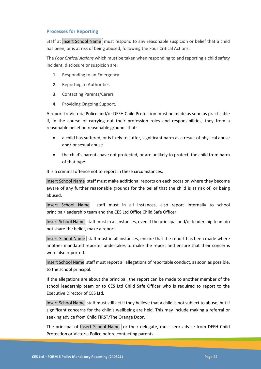### **Processes for Reporting**

Staff at Insert School Name must respond to any reasonable suspicion or belief that a child has been, or is at risk of being abused, following the Four Critical Actions:

The *Four Critical Actions* which must be taken when responding to and reporting a child safety incident, disclosure or suspicion are:

- **1.** Responding to an Emergency
- **2.** Reporting to Authorities
- **3.** Contacting Parents/Carers
- **4.** Providing Ongoing Support.

A report to Victoria Police and/or DFFH Child Protection must be made as soon as practicable if, in the course of carrying out their profession roles and responsibilities, they from a reasonable belief on reasonable grounds that:

- a child has suffered, or is likely to suffer, significant harm as a result of physical abuse and/ or sexual abuse
- the child's parents have not protected, or are unlikely to protect, the child from harm of that type.

It is a criminal offence not to report in these circumstances.

Insert School Name staff must make additional reports on each occasion where they become aware of any further reasonable grounds for the belief that the child is at risk of, or being abused.

Insert School Name staff must in all instances, also report internally to school principal/leadership team and the CES Ltd Office Child Safe Officer.

Insert School Name staff must in all instances, even if the principal and/or leadership team do not share the belief, make a report.

Insert School Name staff must in all instances, ensure that the report has been made where another mandated reporter undertakes to make the report and ensure that their concerns were also reported.

Insert School Name staff must report all allegations of reportable conduct, as soon as possible, to the school principal.

If the allegations are about the principal, the report can be made to another member of the school leadership team or to CES Ltd Child Safe Officer who is required to report to the Executive Director of CES Ltd.

Insert School Name staff must still act if they believe that a child is not subject to abuse, but if significant concerns for the child's wellbeing are held. This may include making a referral or seeking advice from Child FIRST/The Orange Door.

The principal of Insert School Name or their delegate, must seek advice from DFFH Child Protection or Victoria Police before contacting parents.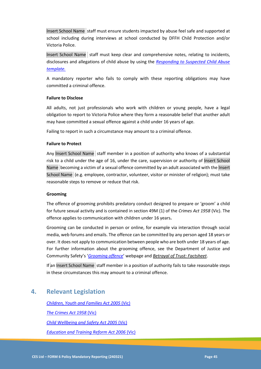Insert School Name staff must ensure students impacted by abuse feel safe and supported at school including during interviews at school conducted by DFFH Child Protection and/or Victoria Police.

Insert School Name staff must keep clear and comprehensive notes, relating to incidents, disclosures and allegations of child abuse by using the *[Responding to Suspected Child Abuse](https://www.education.vic.gov.au/Documents/about/programs/health/protect/PROTECT_Schoolstemplate.pdf)  [template.](https://www.education.vic.gov.au/Documents/about/programs/health/protect/PROTECT_Schoolstemplate.pdf)*

A mandatory reporter who fails to comply with these reporting obligations may have committed a criminal offence.

### **Failure to Disclose**

All adults, not just professionals who work with children or young people, have a legal obligation to report to Victoria Police where they form a reasonable belief that another adult may have committed a sexual offence against a child under 16 years of age.

Failing to report in such a circumstance may amount to a criminal offence.

### **Failure to Protect**

Any Insert School Name staff member in a position of authority who knows of a substantial risk to a child under the age of 16, under the care, supervision or authority of Insert School Name becoming a victim of a sexual offence committed by an adult associated with the Insert School Name (e.g. employee, contractor, volunteer, visitor or minister of religion); must take reasonable steps to remove or reduce that risk.

### **Grooming**

The offence of grooming prohibits predatory conduct designed to prepare or 'groom' a child for future sexual activity and is contained in section 49M (1) of the *Crimes Act 1958* (Vic). The offence applies to communication with children under 16 years**.**

Grooming can be conducted in person or online, for example via interaction through social media, web forums and emails. The offence can be committed by any person aged 18 years or over. It does not apply to communication between people who are both under 18 years of age. For further information about the grooming offence, see the Department of Justice and Community Safety's '*[Grooming offence](https://www.justice.vic.gov.au/safer-communities/protecting-children-and-families/grooming-offence)*' webpage and *[Betrayal of Trust: Factsheet](https://www.justice.vic.gov.au/safer-communities/protecting-children-and-families/betrayal-of-trust-fact-sheet-the-new)*.

If an Insert School Name staff member in a position of authority fails to take reasonable steps in these circumstances this may amount to a criminal offence.

# **4. Relevant Legislation**

*[Children, Youth and Families Act 2005](file:///D:/Users/Frances/Downloads/Children,%20Youth%20and%20Families%20Act%202005%20(Vic))* (Vic) *[The Crimes Act 1958](file:///D:/Users/Frances/Downloads/The%20Crimes%20Act%201958%20(Vic))* (Vic) *[Child Wellbeing and Safety Act 2005](file:///D:/Users/Frances/Downloads/Child%20Wellbeing%20and%20Safety%20Act%202005%20(Vic))* (Vic) *[Education and Training Reform Act 2006](file:///D:/Users/Frances/Downloads/Education%20and%20Training%20Reform%20Act%202006%20(Vic))* (Vic)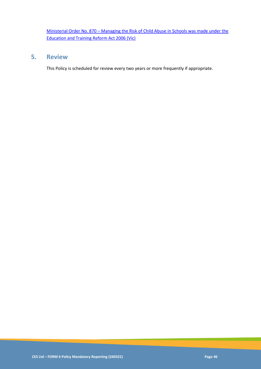Ministerial Order No. 870 – [Managing the Risk of Child Abuse in Schools was made under the](file:///D:/Users/Frances/Downloads/Ministerial%20Order%20No.%20870%20–%20Managing%20the%20Risk%20of%20Child%20Abuse%20in%20Schools%20was%20made%20under%20the%20Education%20and%20Training%20Reform%20Act%202006%20(Vic))  [Education and Training Reform Act 2006 \(Vic\)](file:///D:/Users/Frances/Downloads/Ministerial%20Order%20No.%20870%20–%20Managing%20the%20Risk%20of%20Child%20Abuse%20in%20Schools%20was%20made%20under%20the%20Education%20and%20Training%20Reform%20Act%202006%20(Vic))

# **5. Review**

This Policy is scheduled for review every two years or more frequently if appropriate.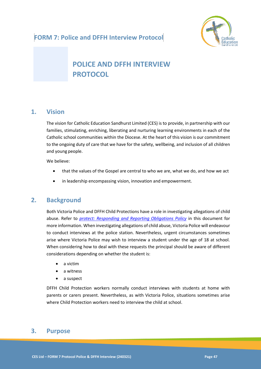

# **POLICE AND DFFH INTERVIEW PROTOCOL**

# **1. Vision**

The vision for Catholic Education Sandhurst Limited (CES) is to provide, in partnership with our families, stimulating, enriching, liberating and nurturing learning environments in each of the Catholic school communities within the Diocese. At the heart of this vision is our commitment to the ongoing duty of care that we have for the safety, wellbeing, and inclusion of all children and young people.

We believe:

- that the values of the Gospel are central to who we are, what we do, and how we act
- in leadership encompassing vision, innovation and empowerment.

# **2. Background**

Both Victoria Police and DFFH Child Protections have a role in investigating allegations of child abuse. Refer to *[protect: Responding and Reporting Obligations Policy](protect:%20Responding%20and%20Reporting%20Obligations%20Policy)* in this document for more information. When investigating allegations of child abuse, Victoria Police will endeavour to conduct interviews at the police station. Nevertheless, urgent circumstances sometimes arise where Victoria Police may wish to interview a student under the age of 18 at school. When considering how to deal with these requests the principal should be aware of different considerations depending on whether the student is:

- a victim
- a witness
- a suspect

DFFH Child Protection workers normally conduct interviews with students at home with parents or carers present. Nevertheless, as with Victoria Police, situations sometimes arise where Child Protection workers need to interview the child at school.

# **3. Purpose**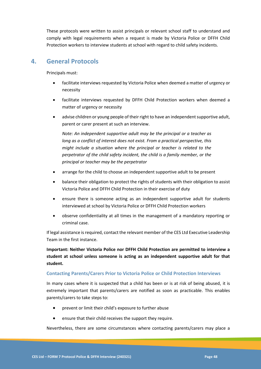These protocols were written to assist principals or relevant school staff to understand and comply with legal requirements when a request is made by Victoria Police or DFFH Child Protection workers to interview students at school with regard to child safety incidents.

# **4. General Protocols**

Principals must:

- facilitate interviews requested by Victoria Police when deemed a matter of urgency or necessity
- facilitate interviews requested by DFFH Child Protection workers when deemed a matter of urgency or necessity
- advise children or young people of their right to have an independent supportive adult, parent or carer present at such an interview.

*Note: An independent supportive adult may be the principal or a teacher as long as a conflict of interest does not exist. From a practical perspective, this might include a situation where the principal or teacher is related to the perpetrator of the child safety incident, the child is a family member, or the principal or teacher may be the perpetrator* 

- arrange for the child to choose an independent supportive adult to be present
- balance their obligation to protect the rights of students with their obligation to assist Victoria Police and DFFH Child Protection in their exercise of duty
- ensure there is someone acting as an independent supportive adult for students interviewed at school by Victoria Police or DFFH Child Protection workers
- observe confidentiality at all times in the management of a mandatory reporting or criminal case.

If legal assistance is required, contact the relevant member of the CES Ltd Executive Leadership Team in the first instance.

**Important: Neither Victoria Police nor DFFH Child Protection are permitted to interview a student at school unless someone is acting as an independent supportive adult for that student.** 

### **Contacting Parents/Carers Prior to Victoria Police or Child Protection Interviews**

In many cases where it is suspected that a child has been or is at risk of being abused, it is extremely important that parents/carers are notified as soon as practicable. This enables parents/carers to take steps to:

- prevent or limit their child's exposure to further abuse
- ensure that their child receives the support they require.

Nevertheless, there are some circumstances where contacting parents/carers may place a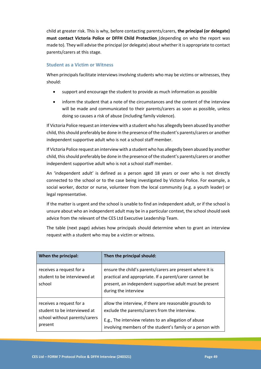child at greater risk. This is why, before contacting parents/carers, **the principal (or delegate) must contact Victoria Police or DFFH Child Protection** (depending on who the report was made to). They will advise the principal (or delegate) about whether it is appropriate to contact parents/carers at this stage.

### **Student as a Victim or Witness**

When principals facilitate interviews involving students who may be victims or witnesses, they should:

- support and encourage the student to provide as much information as possible
- inform the student that a note of the circumstances and the content of the interview will be made and communicated to their parents/carers as soon as possible, unless doing so causes a risk of abuse (including family violence).

If Victoria Police request an interview with a student who has allegedly been abused by another child, this should preferably be done in the presence of the student's parents/carers or another independent supportive adult who is not a school staff member.

If Victoria Police request an interview with a student who has allegedly been abused by another child, this should preferably be done in the presence of the student's parents/carers or another independent supportive adult who is not a school staff member.

An 'independent adult' is defined as a person aged 18 years or over who is not directly connected to the school or to the case being investigated by Victoria Police. For example, a social worker, doctor or nurse, volunteer from the local community (e.g. a youth leader) or legal representative.

If the matter is urgent and the school is unable to find an independent adult, or if the school is unsure about who an independent adult may be in a particular context, the school should seek advice from the relevant of the CES Ltd Executive Leadership Team.

The table (next page) advises how principals should determine when to grant an interview request with a student who may be a victim or witness.

| When the principal:                                                                                  | Then the principal should:                                                                                                                                                                                                       |
|------------------------------------------------------------------------------------------------------|----------------------------------------------------------------------------------------------------------------------------------------------------------------------------------------------------------------------------------|
| receives a request for a<br>student to be interviewed at<br>school                                   | ensure the child's parents/carers are present where it is<br>practical and appropriate. If a parent/carer cannot be<br>present, an independent supportive adult must be present<br>during the interview                          |
| receives a request for a<br>student to be interviewed at<br>school without parents/carers<br>present | allow the interview, if there are reasonable grounds to<br>exclude the parents/carers from the interview.<br>E.g., The interview relates to an allegation of abuse<br>involving members of the student's family or a person with |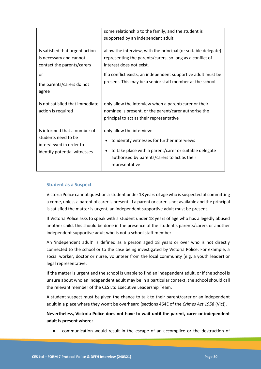|                                                                                                                | some relationship to the family, and the student is<br>supported by an independent adult                                                                                                              |
|----------------------------------------------------------------------------------------------------------------|-------------------------------------------------------------------------------------------------------------------------------------------------------------------------------------------------------|
| Is satisfied that urgent action<br>is necessary and cannot<br>contact the parents/carers                       | allow the interview, with the principal (or suitable delegate)<br>representing the parents/carers, so long as a conflict of<br>interest does not exist.                                               |
| or<br>the parents/carers do not<br>agree                                                                       | If a conflict exists, an independent supportive adult must be<br>present. This may be a senior staff member at the school.                                                                            |
| Is not satisfied that immediate<br>action is required                                                          | only allow the interview when a parent/carer or their<br>nominee is present, or the parent/carer authorise the<br>principal to act as their representative                                            |
| Is informed that a number of<br>students need to be<br>interviewed in order to<br>identify potential witnesses | only allow the interview:<br>to identify witnesses for further interviews<br>to take place with a parent/carer or suitable delegate<br>authorised by parents/carers to act as their<br>representative |

### **Student as a Suspect**

Victoria Police cannot question a student under 18 years of age who is suspected of committing a crime, unless a parent of carer is present. If a parent or carer is not available and the principal is satisfied the matter is urgent, an independent supportive adult must be present.

If Victoria Police asks to speak with a student under 18 years of age who has allegedly abused another child, this should be done in the presence of the student's parents/carers or another independent supportive adult who is not a school staff member.

An 'independent adult' is defined as a person aged 18 years or over who is not directly connected to the school or to the case being investigated by Victoria Police. For example, a social worker, doctor or nurse, volunteer from the local community (e.g. a youth leader) or legal representative.

If the matter is urgent and the school is unable to find an independent adult, or if the school is unsure about who an independent adult may be in a particular context, the school should call the relevant member of the CES Ltd Executive Leadership Team.

A student suspect must be given the chance to talk to their parent/carer or an independent adult in a place where they won't be overheard (sections 464E of the *Crimes Act 1958* (Vic)).

**Nevertheless, Victoria Police does not have to wait until the parent, carer or independent adult is present where:**

• communication would result in the escape of an accomplice or the destruction of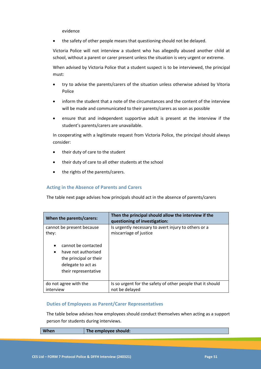evidence

the safety of other people means that questioning should not be delayed.

Victoria Police will not interview a student who has allegedly abused another child at school, without a parent or carer present unless the situation is very urgent or extreme.

When advised by Victoria Police that a student suspect is to be interviewed, the principal must:

- try to advise the parents/carers of the situation unless otherwise advised by Vitoria Police
- inform the student that a note of the circumstances and the content of the interview will be made and communicated to their parents/carers as soon as possible
- ensure that and independent supportive adult is present at the interview if the student's parents/carers are unavailable.

In cooperating with a legitimate request from Victoria Police, the principal should always consider:

- their duty of care to the student
- their duty of care to all other students at the school
- the rights of the parents/carers.

### **Acting in the Absence of Parents and Carers**

The table next page advises how principals should act in the absence of parents/carers

| When the parents/carers:                                                                                 | Then the principal should allow the interview if the<br>questioning of investigation: |
|----------------------------------------------------------------------------------------------------------|---------------------------------------------------------------------------------------|
| cannot be present because<br>they:<br>cannot be contacted                                                | Is urgently necessary to avert injury to others or a<br>miscarriage of justice        |
| have not authorised<br>$\bullet$<br>the principal or their<br>delegate to act as<br>their representative |                                                                                       |
| do not agree with the                                                                                    | Is so urgent for the safety of other people that it should                            |
| interview                                                                                                | not be delayed                                                                        |

### **Duties of Employees as Parent/Carer Representatives**

The table below advises how employees should conduct themselves when acting as a support person for students during interviews.

| <b>When</b> | The employee should: |
|-------------|----------------------|
|             |                      |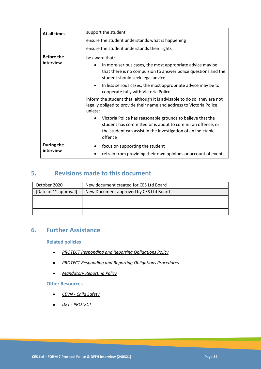| At all times                   | support the student                                                                                                                                                                                                                                                                                                                                                                                                                                                                                                                              |  |  |
|--------------------------------|--------------------------------------------------------------------------------------------------------------------------------------------------------------------------------------------------------------------------------------------------------------------------------------------------------------------------------------------------------------------------------------------------------------------------------------------------------------------------------------------------------------------------------------------------|--|--|
|                                | ensure the student understands what is happening<br>ensure the student understands their rights                                                                                                                                                                                                                                                                                                                                                                                                                                                  |  |  |
|                                |                                                                                                                                                                                                                                                                                                                                                                                                                                                                                                                                                  |  |  |
| <b>Before the</b><br>interview | be aware that:<br>In more serious cases, the most appropriate advice may be<br>that there is no compulsion to answer police questions and the<br>student should seek legal advice<br>In less serious cases, the most appropriate advice may be to<br>$\bullet$<br>cooperate fully with Victoria Police<br>inform the student that, although it is advisable to do so, they are not<br>legally obliged to provide their name and address to Victoria Police<br>unless:<br>Victoria Police has reasonable grounds to believe that the<br>$\bullet$ |  |  |
|                                | student has committed or is about to commit an offence, or<br>the student can assist in the investigation of an indictable<br>offence                                                                                                                                                                                                                                                                                                                                                                                                            |  |  |
| During the<br>interview        | focus on supporting the student<br>refrain from providing their own opinions or account of events                                                                                                                                                                                                                                                                                                                                                                                                                                                |  |  |

# **5. Revisions made to this document**

| October 2020             | New document created for CES Ltd Board |
|--------------------------|----------------------------------------|
| [Date of $1st$ approval] | New Document approved by CES Ltd Board |
|                          |                                        |
|                          |                                        |
|                          |                                        |

# **6. Further Assistance**

### **Related policies**

- *[PROTECT Responding and Reporting Obligations Policy](#page-27-0)*
- *[PROTECT Responding and Reporting Obligations Procedures](#page-37-0)*
- *[Mandatory Reporting Policy](#page-42-0)*

### **Other Resources**

- *CEVN - [Child Safety](https://cevn.cecv.catholic.edu.au/Sand/Child-Safety)*
- *DET - [PROTECT](https://www.education.vic.gov.au/about/programs/health/protect/Pages/default.aspx?Redirect=1)*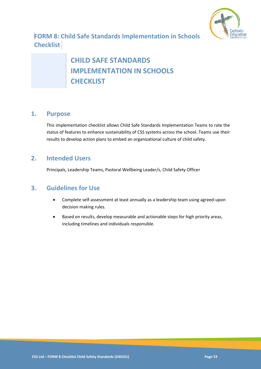

**FORM 8: Child Safe Standards Implementation in Schools Checklist** 

# **CHILD SAFE STANDARDS IMPLEMENTATION IN SCHOOLS CHECKLIST**

# **1. Purpose**

This implementation checklist allows Child Safe Standards Implementation Teams to rate the status of features to enhance sustainability of CSS systems across the school. Teams use their results to develop action plans to embed an organizational culture of child safety.

# **2. Intended Users**

Principals, Leadership Teams, Pastoral Wellbeing Leader/s, Child Safety Officer

# **3. Guidelines for Use**

- Complete self-assessment at least annually as a leadership team using agreed-upon decision making rules.
- Based on results, develop measurable and actionable steps for high priority areas, including timelines and individuals responsible.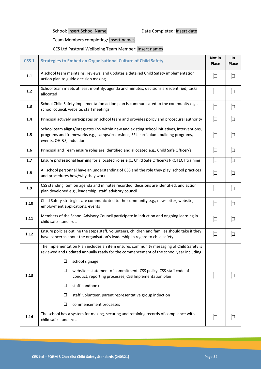School: Insert School Name Date Completed: Insert date

Team Members completing: Insert names

## CES Ltd Pastoral Wellbeing Team Member: Insert names

| CSS <sub>1</sub> | <b>Strategies to Embed an Organisational Culture of Child Safety</b>                                                                                                                                           |        | In<br>Place |
|------------------|----------------------------------------------------------------------------------------------------------------------------------------------------------------------------------------------------------------|--------|-------------|
| $1.1\,$          | A school team maintains, reviews, and updates a detailed Child Safety implementation<br>action plan to guide decision making.                                                                                  | $\Box$ | $\Box$      |
| 1.2              | School team meets at least monthly, agenda and minutes, decisions are identified, tasks<br>allocated                                                                                                           |        | $\Box$      |
| 1.3              | School Child Safety implementation action plan is communicated to the community e.g.,<br>school council, website, staff meetings                                                                               | $\Box$ | $\Box$      |
| 1.4              | Principal actively participates on school team and provides policy and procedural authority                                                                                                                    | $\Box$ | $\Box$      |
| 1.5              | School team aligns/integrates CSS within new and existing school initiatives, interventions,<br>programs and frameworks e.g., camps/excursions, SEL curriculum, building programs,<br>events, OH &S, induction |        | $\Box$      |
| 1.6              | Principal and Team ensure roles are identified and allocated e.g., Child Safe Officer/s                                                                                                                        | $\Box$ | $\Box$      |
| 1.7              | Ensure professional learning for allocated roles e.g., Child Safe Officer/s PROTECT training                                                                                                                   | $\Box$ | $\Box$      |
| 1.8              | All school personnel have an understanding of CSS and the role they play, school practices<br>and procedures how/why they work                                                                                 | $\Box$ | $\Box$      |
| 1.9              | CSS standing item on agenda and minutes recorded, decisions are identified, and action<br>plan developed e.g., leadership, staff, advisory council                                                             | $\Box$ | $\Box$      |
| $1.10$           | Child Safety strategies are communicated to the community e.g., newsletter, website,<br>employment applications, events                                                                                        | $\Box$ | $\Box$      |
| 1.11             | Members of the School Advisory Council participate in induction and ongoing learning in<br>child safe standards.                                                                                               | $\Box$ | $\Box$      |
| 1.12             | Ensure policies outline the steps staff, volunteers, children and families should take if they<br>have concerns about the organisation's leadership in regard to child safety.                                 | $\Box$ | $\Box$      |
|                  | The Implementation Plan includes an item ensures community messaging of Child Safety is<br>reviewed and updated annually ready for the commencement of the school year including:                              |        |             |
|                  | school signage<br>$\Box$                                                                                                                                                                                       |        |             |
| 1.13             | $\Box$<br>website - statement of commitment, CSS policy, CSS staff code of<br>conduct, reporting processes, CSS Implementation plan                                                                            | $\Box$ | ப           |
|                  | staff handbook<br>$\Box$                                                                                                                                                                                       |        |             |
|                  | staff, volunteer, parent representative group induction<br>□                                                                                                                                                   |        |             |
|                  | $\Box$<br>commencement processes                                                                                                                                                                               |        |             |
| 1.14             | The school has a system for making, securing and retaining records of compliance with<br>child safe standards.                                                                                                 | $\Box$ | $\Box$      |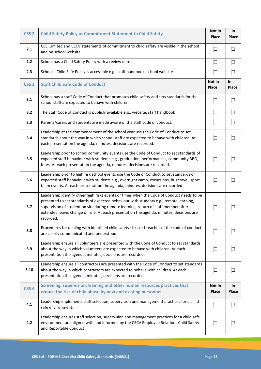| CSS <sub>2</sub> | <b>Child Safety Policy or Commitment Statement to Child Safety</b>                                                                                                                                                                                                                                                                                                                |                 | <b>In</b><br>Place |
|------------------|-----------------------------------------------------------------------------------------------------------------------------------------------------------------------------------------------------------------------------------------------------------------------------------------------------------------------------------------------------------------------------------|-----------------|--------------------|
| 2.1              | CES Limited and CECV statements of commitment to child safety are visible in the school<br>and on school website                                                                                                                                                                                                                                                                  | $\Box$          | $\Box$             |
| 2.2              | School has a Child Safety Policy with a review date                                                                                                                                                                                                                                                                                                                               |                 | $\Box$             |
| 2.3              | School's Child Safe Policy is accessible e.g., staff handbook, school website                                                                                                                                                                                                                                                                                                     |                 | $\Box$             |
| CSS <sub>3</sub> | Not in<br><b>Staff Child Safe Code of Conduct</b><br>Place                                                                                                                                                                                                                                                                                                                        |                 | In<br>Place        |
| 3.1              | School has a staff Code of Conduct that promotes child safety and sets standards for the<br>school staff are expected to behave with children                                                                                                                                                                                                                                     | $\Box$          | $\Box$             |
| 3.2              | The Staff Code of Conduct is publicly available e.g., website, staff handbook                                                                                                                                                                                                                                                                                                     | $\Box$          | $\Box$             |
| 3.3              | Parents/carers and students are made aware of the staff code of conduct.                                                                                                                                                                                                                                                                                                          | $\Box$          | $\Box$             |
| 3.4              | Leadership at the commencement of the school year use the Code of Conduct to set<br>standards about the way in which school staff are expected to behave with children. At<br>each presentation the agenda, minutes, decisions are recorded.                                                                                                                                      | $\Box$          | $\Box$             |
| 3.5              | Leadership prior to school community events use the Code of Conduct to set standards of<br>expected staff behaviour with students e.g., graduation, performances, community BBQ,<br>fetes. At each presentation the agenda, minutes, decisions are recorded.                                                                                                                      |                 | $\Box$             |
| 3.6              | Leadership prior to high risk school events use the Code of Conduct to set standards of<br>expected staff behaviour with students e.g., overnight camp, excursions, bus travel, sport<br>team events. At each presentation the agenda, minutes, decisions are recorded.                                                                                                           |                 | $\Box$             |
| 3.7              | Leadership identify other high risks events or times when the Code of Conduct needs to be<br>presented to set standards of expected behaviour with students e.g., remote learning,<br>supervision of student on site during remote learning, return of staff member after<br>extended leave, change of role. At each presentation the agenda, minutes, decisions are<br>recorded. |                 | □                  |
| 3.8              | Procedures for dealing with identified child safety risks or breaches of the code of conduct<br>are clearly communicated and understood.                                                                                                                                                                                                                                          |                 | $\Box$             |
| 3.9              | Leadership ensure all volunteers are presented with the Code of Conduct to set standards<br>about the way in which volunteers are expected to behave with children. At each<br>presentation the agenda, minutes, decisions are recorded.                                                                                                                                          |                 | $\Box$             |
| 3.10             | Leadership ensure all contractors are presented with the Code of Conduct to set standards<br>about the way in which contractors are expected to behave with children. At each<br>presentation the agenda, minutes, decisions are recorded.                                                                                                                                        |                 | $\Box$             |
| CSS <sub>4</sub> | Screening, supervision, training and other human resources practices that<br>reduce the risk of child abuse by new and existing personnel                                                                                                                                                                                                                                         | Not in<br>Place | In<br><b>Place</b> |
| 4.1              | Leadership implements staff selection, supervision and management practices for a child<br>safe environment.                                                                                                                                                                                                                                                                      | $\Box$          | $\Box$             |
| 4.2              | Leadership ensures staff selection, supervision and management practices for a child safe<br>environment are aligned with and informed by the CECV Employee Relations Child Safety<br>and Reportable Conduct                                                                                                                                                                      | $\Box$          | $\Box$             |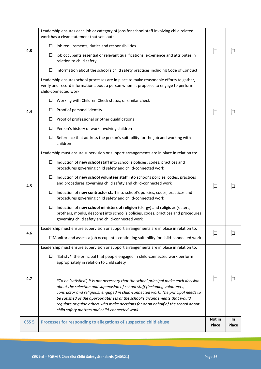| 4.3              | Leadership ensures each job or category of jobs for school staff involving child related<br>work has a clear statement that sets out:<br>□<br>job requirements, duties and responsibilities<br>job occupants essential or relevant qualifications, experience and attributes in<br>relation to child safety<br>information about the school's child safety practices including Code of Conduct<br>□                                                                                                                                                                                                                                                                                                                                                                                          | $\Box$          | □                  |
|------------------|----------------------------------------------------------------------------------------------------------------------------------------------------------------------------------------------------------------------------------------------------------------------------------------------------------------------------------------------------------------------------------------------------------------------------------------------------------------------------------------------------------------------------------------------------------------------------------------------------------------------------------------------------------------------------------------------------------------------------------------------------------------------------------------------|-----------------|--------------------|
| 4.4              | Leadership ensures school processes are in place to make reasonable efforts to gather,<br>verify and record information about a person whom it proposes to engage to perform<br>child-connected work:<br>Working with Children Check status, or similar check<br>□<br>Proof of personal identity<br>□<br>Proof of professional or other qualifications<br>□<br>Person's history of work involving children<br>□<br>Reference that address the person's suitability for the job and working with<br>□<br>children                                                                                                                                                                                                                                                                             | $\Box$          | □                  |
| 4.5              | Leadership must ensure supervision or support arrangements are in place in relation to:<br>Induction of new school staff into school's policies, codes, practices and<br>□<br>procedures governing child safety and child-connected work<br>Induction of new school volunteer staff into school's policies, codes, practices<br>□<br>and procedures governing child safety and child-connected work<br>Induction of new contractor staff into school's policies, codes, practices and<br>□<br>procedures governing child safety and child-connected work<br>$\Box$<br>Induction of new school ministers of religion (clergy) and religious (sisters,<br>brothers, monks, deacons) into school's policies, codes, practices and procedures<br>governing child safety and child-connected work | □               | П                  |
| 4.6              | Leadership must ensure supervision or support arrangements are in place in relation to:<br>□Monitor and assess a job occupant's continuing suitability for child-connected work                                                                                                                                                                                                                                                                                                                                                                                                                                                                                                                                                                                                              | $\Box$          | □                  |
| 4.7              | Leadership must ensure supervision or support arrangements are in place in relation to:<br>'Satisfy*' the principal that people engaged in child-connected work perform<br>$\Box$<br>appropriately in relation to child safety<br>*To be 'satisfied', it is not necessary that the school principal make each decision<br>about the selection and supervision of school staff (including volunteers,<br>contractor and religious) engaged in child-connected work. The principal needs to<br>be satisfied of the appropriateness of the school's arrangements that would<br>regulate or guide others who make decisions for or on behalf of the school about<br>child safety matters and child-connected work.                                                                               | □               | H                  |
| CSS <sub>5</sub> | Processes for responding to allegations of suspected child abuse                                                                                                                                                                                                                                                                                                                                                                                                                                                                                                                                                                                                                                                                                                                             | Not in<br>Place | <b>In</b><br>Place |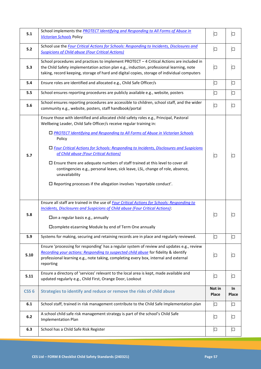| 5.1              | School implements the <b>PROTECT Identifying and Responding to All Forms of Abuse in</b><br><b>Victorian Schools Policy</b>                                                                                                                                                                                                                                                                                                                                                                                                                                                                                                                                                       | $\Box$          | □           |
|------------------|-----------------------------------------------------------------------------------------------------------------------------------------------------------------------------------------------------------------------------------------------------------------------------------------------------------------------------------------------------------------------------------------------------------------------------------------------------------------------------------------------------------------------------------------------------------------------------------------------------------------------------------------------------------------------------------|-----------------|-------------|
| 5.2              | School use the Four Critical Actions for Schools: Responding to Incidents, Disclosures and<br><b>Suspicions of Child abuse (Four Critical Actions)</b>                                                                                                                                                                                                                                                                                                                                                                                                                                                                                                                            | $\Box$          | $\Box$      |
| 5.3              | School procedures and practices to implement PROTECT - 4 Critical Actions are included in<br>the Child Safety implementation action plan e.g., induction, professional learning, note<br>taking, record keeping, storage of hard and digital copies, storage of individual computers                                                                                                                                                                                                                                                                                                                                                                                              |                 | $\Box$      |
| 5.4              | Ensure roles are identified and allocated e.g., Child Safe Officer/s                                                                                                                                                                                                                                                                                                                                                                                                                                                                                                                                                                                                              | $\Box$          | 口           |
| 5.5              | School ensures reporting procedures are publicly available e.g., website, posters                                                                                                                                                                                                                                                                                                                                                                                                                                                                                                                                                                                                 | $\Box$          | $\Box$      |
| 5.6              | School ensures reporting procedures are accessible to children, school staff, and the wider<br>community e.g., website, posters, staff handbook/portal                                                                                                                                                                                                                                                                                                                                                                                                                                                                                                                            | $\Box$          | $\Box$      |
| 5.7              | Ensure those with identified and allocated child safety roles e.g., Principal, Pastoral<br>Wellbeing Leader, Child Safe Officer/s receive regular training in:<br>□ PROTECT Identifying and Responding to All Forms of Abuse in Victorian Schools<br>Policy<br>□ Four Critical Actions for Schools: Responding to Incidents, Disclosures and Suspicions<br>of Child abuse (Four Critical Actions)<br>$\square$ Ensure there are adequate numbers of staff trained at this level to cover all<br>contingencies e.g., personal leave, sick leave, LSL, change of role, absence,<br>unavailability<br>$\square$ Reporting processes if the allegation involves 'reportable conduct'. | □               | I I         |
| 5.8              | Ensure all staff are trained in the use of <b>Four Critical Actions for Schools: Responding to</b><br><b>Incidents, Disclosures and Suspicions of Child abuse (Four Critical Actions):</b><br>$\Box$ on a regular basis e.g., annually<br>□ Complete eLearning Module by end of Term One annually                                                                                                                                                                                                                                                                                                                                                                                 |                 |             |
| 5.9              | Systems for making, securing and retaining records are in place and regularly reviewed.                                                                                                                                                                                                                                                                                                                                                                                                                                                                                                                                                                                           | $\Box$          | $\Box$      |
| 5.10             | Ensure 'processing for responding' has a regular system of review and updates e.g., review<br>Recording your actions: Responding to suspected child abuse for fidelity & identify<br>professional learning e.g., note taking, completing every box, internal and external<br>reporting                                                                                                                                                                                                                                                                                                                                                                                            |                 | $\Box$      |
| 5.11             | Ensure a directory of 'services' relevant to the local area is kept, made available and<br>updated regularly e.g., Child First, Orange Door, Lookout                                                                                                                                                                                                                                                                                                                                                                                                                                                                                                                              |                 | 口           |
| CSS <sub>6</sub> | Strategies to identify and reduce or remove the risks of child abuse                                                                                                                                                                                                                                                                                                                                                                                                                                                                                                                                                                                                              | Not in<br>Place | In<br>Place |
| 6.1              | School staff, trained in risk management contribute to the Child Safe Implementation plan                                                                                                                                                                                                                                                                                                                                                                                                                                                                                                                                                                                         | $\Box$          | $\Box$      |
| 6.2              | A school child safe risk management strategy is part of the school's Child Safe<br><b>Implementation Plan</b>                                                                                                                                                                                                                                                                                                                                                                                                                                                                                                                                                                     | $\Box$          | $\Box$      |
| 6.3              | School has a Child Safe Risk Register                                                                                                                                                                                                                                                                                                                                                                                                                                                                                                                                                                                                                                             | 口               | 口           |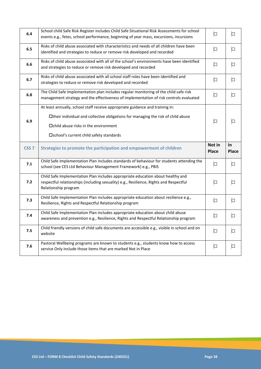| 6.4              | School child Safe Risk Register includes Child Safe Situational Risk Assessments for school<br>events e.g., fetes, school performance, beginning of year mass, excursions, incursions                                                                         |                        | □                  |
|------------------|---------------------------------------------------------------------------------------------------------------------------------------------------------------------------------------------------------------------------------------------------------------|------------------------|--------------------|
| 6.5              | Risks of child abuse associated with characteristics and needs of all children have been<br>identified and strategies to reduce or remove risk developed and recorded                                                                                         |                        | $\Box$             |
| 6.6              | Risks of child abuse associated with all of the school's environments have been identified<br>and strategies to reduce or remove risk developed and recorded                                                                                                  |                        | $\Box$             |
| 6.7              | Risks of child abuse associated with all school staff roles have been identified and<br>strategies to reduce or remove risk developed and recorded                                                                                                            | $\Box$                 | $\Box$             |
| 6.8              | The Child Safe Implementation plan includes regular monitoring of the child safe risk<br>management strategy and the effectiveness of implementation of risk controls evaluated                                                                               |                        | $\Box$             |
| 6.9              | At least annually, school staff receive appropriate guidance and training in:<br>□their individual and collective obligations for managing the risk of child abuse<br>$\Box$ child abuse risks in the environment<br>□school's current child safety standards |                        | $\Box$             |
|                  |                                                                                                                                                                                                                                                               |                        |                    |
| CSS <sub>7</sub> | Strategies to promote the participation and empowerment of children                                                                                                                                                                                           | Not in<br><b>Place</b> | In<br><b>Place</b> |
| 7.1              | Child Safe Implementation Plan includes standards of behaviour for students attending the<br>school (see CES Ltd Behaviour Management Framework) e.g., PBIS                                                                                                   | $\Box$                 | $\Box$             |
| 7.2              | Child Safe Implementation Plan includes appropriate education about healthy and<br>respectful relationships (including sexuality) e.g., Resilience, Rights and Respectful<br>Relationship program                                                             | □                      | □                  |
| 7.3              | Child Safe Implementation Plan includes appropriate education about resilience e.g.,<br>Resilience, Rights and Respectful Relationship program                                                                                                                | $\Box$                 | $\Box$             |
| 7.4              | Child Safe Implementation Plan includes appropriate education about child abuse<br>awareness and prevention e.g., Resilience, Rights and Respectful Relationship program                                                                                      | $\Box$                 | $\Box$             |
| 7.5              | Child friendly versions of child safe documents are accessible e.g., visible in school and on<br>website                                                                                                                                                      | $\Box$                 | $\Box$             |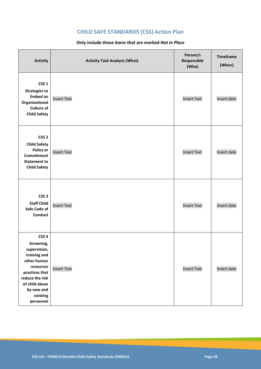# **CHILD SAFE STANDARDS (CSS) Action Plan**

### **Only include those items that are marked** *Not in Place*

| <b>Activity</b>                                                                                                                                                                          | <b>Activity Task Analysis (What)</b> | Person/s<br>Responsible<br>(Who) | <b>Timeframe</b><br>(When) |
|------------------------------------------------------------------------------------------------------------------------------------------------------------------------------------------|--------------------------------------|----------------------------------|----------------------------|
| CSS <sub>1</sub><br><b>Strategies to</b><br><b>Embed an</b><br>Organisational<br><b>Culture of</b><br><b>Child Safety</b>                                                                | <b>Insert Text</b>                   | <b>Insert Text</b>               | Insert date                |
| CSS <sub>2</sub><br><b>Child Safety</b><br>Policy or<br>Commitment<br><b>Statement to</b><br><b>Child Safety</b>                                                                         | <b>Insert Text</b>                   | <b>Insert Text</b>               | Insert date                |
| CSS <sub>3</sub><br><b>Staff Child</b><br>Safe Code of<br><b>Conduct</b>                                                                                                                 | <b>Insert Text</b>                   | <b>Insert Text</b>               | Insert date                |
| CSS <sub>4</sub><br>Screening,<br>supervision,<br>training and<br>other human<br>resources<br>practices that<br>reduce the risk<br>of child abuse<br>by new and<br>existing<br>personnel | <b>Insert Text</b>                   | <b>Insert Text</b>               | Insert date                |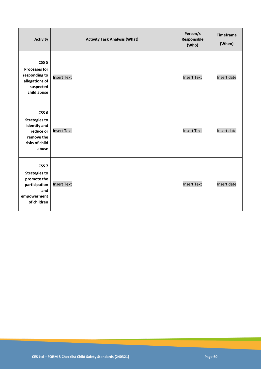| <b>Activity</b>                                                                                                | <b>Activity Task Analysis (What)</b> | Person/s<br>Responsible<br>(Who) | <b>Timeframe</b><br>(When) |
|----------------------------------------------------------------------------------------------------------------|--------------------------------------|----------------------------------|----------------------------|
| CSS <sub>5</sub><br><b>Processes for</b><br>responding to<br>allegations of<br>suspected<br>child abuse        | <b>Insert Text</b>                   | <b>Insert Text</b>               | Insert date                |
| CSS <sub>6</sub><br><b>Strategies to</b><br>identify and<br>reduce or<br>remove the<br>risks of child<br>abuse | <b>Insert Text</b>                   | <b>Insert Text</b>               | Insert date                |
| CSS <sub>7</sub><br><b>Strategies to</b><br>promote the<br>participation<br>and<br>empowerment<br>of children  | <b>Insert Text</b>                   | <b>Insert Text</b>               | Insert date                |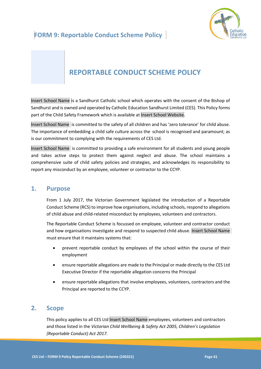

# **REPORTABLE CONDUCT SCHEME POLICY**

Insert School Name is a Sandhurst Catholic school which operates with the consent of the Bishop of Sandhurst and is owned and operated by Catholic Education Sandhurst Limited (CES). This Policy forms part of the Child Safety Framework which is available at Insert School Website.

Insert School Name is committed to the safety of all children and has 'zero tolerance' for child abuse. The importance of embedding a child safe culture across the school is recognised and paramount; as is our commitment to complying with the requirements of CES Ltd.

Insert School Name is committed to providing a safe environment for all students and young people and takes active steps to protect them against neglect and abuse. The school maintains a comprehensive suite of child safety policies and strategies, and acknowledges its responsibility to report any misconduct by an employee, volunteer or contractor to the CCYP.

### **1. Purpose**

From 1 July 2017, the Victorian Government legislated the introduction of a Reportable Conduct Scheme (RCS) to improve how organisations, including schools, respond to allegations of child abuse and child-related misconduct by employees, volunteers and contractors.

The Reportable Conduct Scheme is focussed on employee, volunteer and contractor conduct and how organisations investigate and respond to suspected child abuse. Insert School Name must ensure that it maintains systems that:

- prevent reportable conduct by employees of the school within the course of their employment
- ensure reportable allegations are made to the Principal or made directly to the CES Ltd Executive Director if the reportable allegation concerns the Principal
- ensure reportable allegations that involve employees, volunteers, contractors and the Principal are reported to the CCYP.

# **2. Scope**

This policy applies to all CES Ltd Insert School Name employees, volunteers and contractors and those listed in the *Victorian Child Wellbeing & Safety Act 2005, Children's Legislation (Reportable Conduct) Act 2017.*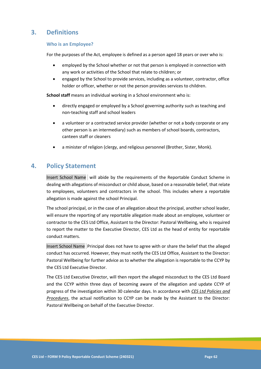# **3. Definitions**

### **Who is an Employee?**

For the purposes of the Act, employee is defined as a person aged 18 years or over who is:

- employed by the School whether or not that person is employed in connection with any work or activities of the School that relate to children; or
- engaged by the School to provide services, including as a volunteer, contractor, office holder or officer, whether or not the person provides services to children.

**School staff** means an individual working in a School environment who is:

- directly engaged or employed by a School governing authority such as teaching and non-teaching staff and school leaders
- a volunteer or a contracted service provider (whether or not a body corporate or any other person is an intermediary) such as members of school boards, contractors, canteen staff or cleaners
- a minister of religion (clergy, and religious personnel (Brother, Sister, Monk).

### **4. Policy Statement**

Insert School Name will abide by the requirements of the Reportable Conduct Scheme in dealing with allegations of misconduct or child abuse, based on a reasonable belief, that relate to employees, volunteers and contractors in the school. This includes where a reportable allegation is made against the school Principal.

The school principal, or in the case of an allegation about the principal, another school leader, will ensure the reporting of any reportable allegation made about an employee, volunteer or contractor to the CES Ltd Office, Assistant to the Director: Pastoral Wellbeing, who is required to report the matter to the Executive Director, CES Ltd as the head of entity for reportable conduct matters.

Insert School Name Principal does not have to agree with or share the belief that the alleged conduct has occurred. However, they must notify the CES Ltd Office, Assistant to the Director: Pastoral Wellbeing for further advice as to whether the allegation is reportable to the CCYP by the CES Ltd Executive Director.

The CES Ltd Executive Director, will then report the alleged misconduct to the CES Ltd Board and the CCYP within three days of becoming aware of the allegation and update CCYP of progress of the investigation within 30 calendar days. In accordance with *CES Ltd Policies and Procedures*, the actual notification to CCYP can be made by the Assistant to the Director: Pastoral Wellbeing on behalf of the Executive Director.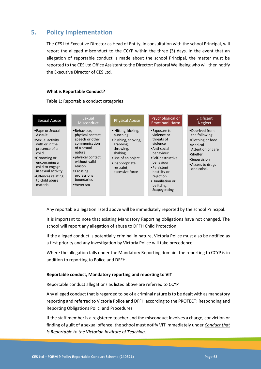# **5. Policy Implementation**

The CES Ltd Executive Director as Head of Entity, in consultation with the school Principal, will report the alleged misconduct to the CCYP within the three (3) days. In the event that an allegation of reportable conduct is made about the school Principal, the matter must be reported to the CES Ltd Office Assistant to the Director: Pastoral Wellbeing who will then notify the Executive Director of CES Ltd.

### **What is Reportable Conduct?**

Table 1: Reportable conduct categories

| Sexual Abuse                                                                                                                                                                                                               | Sexual<br>Misconduct                                                                                                                                                                                            | <b>Physical Abuse</b>                                                                                                                                              | Psychological or<br><b>Emotioanl Harm</b>                                                                                                                                                                          | Sigificant<br><b>Neglect</b>                                                                                                                            |
|----------------------------------------------------------------------------------------------------------------------------------------------------------------------------------------------------------------------------|-----------------------------------------------------------------------------------------------------------------------------------------------------------------------------------------------------------------|--------------------------------------------------------------------------------------------------------------------------------------------------------------------|--------------------------------------------------------------------------------------------------------------------------------------------------------------------------------------------------------------------|---------------------------------------------------------------------------------------------------------------------------------------------------------|
| • Rape or Sexual<br>Assault<br>• Sexual activity<br>with or in the<br>presence of a<br>child<br>•Grooming or<br>encouraging a<br>child to engage<br>in sexual activity<br>•Offences relating<br>to child abuse<br>material | •Behaviour,<br>physical contact,<br>speech or other<br>communication<br>of a sexual<br>nature<br>• physical contact<br>without valid<br>reason<br>$\bullet$ Crossing<br>professional<br>boundaries<br>•Voverism | • Hitting, kicking,<br>punching<br>•Pushing, shoving,<br>grabbing,<br>throwing,<br>shaking<br>•Use of an object<br>•Inappropriate<br>restraint,<br>excessive force | •Exposure to<br>violence or<br>threats of<br>violence<br>• Anti-social<br>behaviour<br>•Self-destructive<br>behaviour<br>•Persistent<br>hostility or<br>rejection<br>•Humiliation or<br>belittling<br>Scapegoating | •Deprived from<br>the following:<br>•Clothing or food<br>• Medical<br>Attention or care<br>•Shelter<br>•Supervision<br>• Access to drugs<br>or alcohol. |

Any reportable allegation listed above will be immediately reported by the school Principal.

It is important to note that existing Mandatory Reporting obligations have not changed. The school will report any allegation of abuse to DFFH Child Protection.

If the alleged conduct is potentially criminal in nature, Victoria Police must also be notified as a first priority and any investigation by Victoria Police will take precedence.

Where the allegation falls under the Mandatory Reporting domain, the reporting to CCYP is in addition to reporting to Police and DFFH.

### **Reportable conduct, Mandatory reporting and reporting to VIT**

Reportable conduct allegations as listed above are referred to CCYP

Any alleged conduct that is regarded to be of a criminal nature is to be dealt with as mandatory reporting and referred to Victoria Police and DFFH according to the PROTECT: Responding and Reporting Obligations Polic, and Procedures.

If the staff member is a registered teacher and the misconduct involves a charge, conviction or finding of guilt of a sexual offence, the school must notify VIT immediately under *Conduct that is Reportable to the Victorian Institute of Teaching*.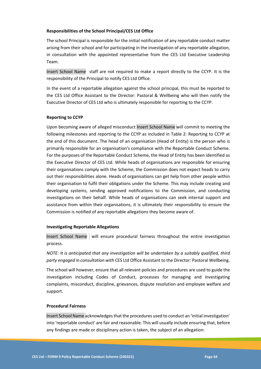### **Responsibilities of the School Principal/CES Ltd Office**

The school Principal is responsible for the initial notification of any reportable conduct matter arising from their school and for participating in the investigation of any reportable allegation, in consultation with the appointed representative from the CES Ltd Executive Leadership Team.

Insert School Name staff are not required to make a report directly to the CCYP. It is the responsibility of the Principal to notify CES Ltd Office.

In the event of a reportable allegation against the school principal, this must be reported to the CES Ltd Office Assistant to the Director: Pastoral & Wellbeing who will then notify the Executive Director of CES Ltd who is ultimately responsible for reporting to the CCYP.

### **Reporting to CCYP**

Upon becoming aware of alleged misconduct Insert School Name will commit to meeting the following milestones and reporting to the CCYP as included in Table 2: Reporting to CCYP at the end of this document. The head of an organisation (Head of Entity) is the person who is primarily responsible for an organisation's compliance with the Reportable Conduct Scheme. For the purposes of the Reportable Conduct Scheme, the Head of Entity has been identified as the Executive Director of CES Ltd. While heads of organisations are responsible for ensuring their organisations comply with the Scheme, the Commission does not expect heads to carry out their responsibilities alone. Heads of organisations can get help from other people within their organisation to fulfil their obligations under the Scheme. This may include creating and developing systems, sending approved notifications to the Commission, and conducting investigations on their behalf. While heads of organisations can seek internal support and assistance from within their organisations, it is ultimately their responsibility to ensure the Commission is notified of any reportable allegations they become aware of.

### **Investigating Reportable Allegations**

Insert School Name will ensure procedural fairness throughout the entire investigation process.

*NOTE: It is anticipated that any investigation will be undertaken by a suitably qualified, third party engaged in consultation with* CES Ltd Office Assistant to the Director: Pastoral Wellbeing.

The school will however, ensure that all relevant policies and procedures are used to guide the investigation including Codes of Conduct, processes for managing and investigating complaints, misconduct, discipline, grievances, dispute resolution and employee welfare and support.

### **Procedural Fairness**

Insert School Name acknowledges that the procedures used to conduct an 'initial investigation' into 'reportable conduct' are fair and reasonable. This will usually include ensuring that, before any findings are made or disciplinary action is taken, the subject of an allegation: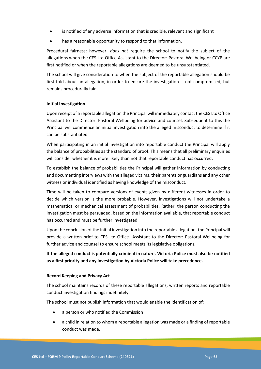- is notified of any adverse information that is credible, relevant and significant
- has a reasonable opportunity to respond to that information.

Procedural fairness; however, *does not* require the school to notify the subject of the allegations when the CES Ltd Office Assistant to the Director: Pastoral Wellbeing or CCYP are first notified or when the reportable allegations are deemed to be unsubstantiated.

The school will give consideration to when the subject of the reportable allegation should be first told about an allegation, in order to ensure the investigation is not compromised, but remains procedurally fair.

### **Initial Investigation**

Upon receipt of a reportable allegation the Principal will immediately contact the CES Ltd Office Assistant to the Director: Pastoral Wellbeing for advice and counsel. Subsequent to this the Principal will commence an initial investigation into the alleged misconduct to determine if it can be substantiated.

When participating in an initial investigation into reportable conduct the Principal will apply the balance of probabilities as the standard of proof. This means that all preliminary enquiries will consider whether it is more likely than not that reportable conduct has occurred.

To establish the balance of probabilities the Principal will gather information by conducting and documenting interviews with the alleged victims, their parents or guardians and any other witness or individual identified as having knowledge of the misconduct.

Time will be taken to compare versions of events given by different witnesses in order to decide which version is the more probable. However, investigations will not undertake a mathematical or mechanical assessment of probabilities. Rather, the person conducting the investigation must be persuaded, based on the information available, that reportable conduct has occurred and must be further investigated.

Upon the conclusion of the initial investigation into the reportable allegation, the Principal will provide a written brief to CES Ltd Office Assistant to the Director: Pastoral Wellbeing for further advice and counsel to ensure school meets its legislative obligations*.*

**If the alleged conduct is potentially criminal in nature, Victoria Police must also be notified as a first priority and any investigation by Victoria Police will take precedence.**

#### **Record Keeping and Privacy Act**

The school maintains records of these reportable allegations, written reports and reportable conduct investigation findings indefinitely.

The school must not publish information that would enable the identification of:

- a person or who notified the Commission
- a child in relation to whom a reportable allegation was made or a finding of reportable conduct was made.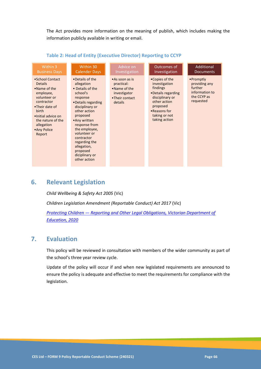The Act provides more information on the meaning of publish, which includes making the information publicly available in writing or email.

| Within 3                                                                                                                                                                                                     | Within 30                                                                                                                                                                                                                                                                                                     | Advice on                                                                                  | Outcomes of                                                                                                                                                         | Additional                                                                          |
|--------------------------------------------------------------------------------------------------------------------------------------------------------------------------------------------------------------|---------------------------------------------------------------------------------------------------------------------------------------------------------------------------------------------------------------------------------------------------------------------------------------------------------------|--------------------------------------------------------------------------------------------|---------------------------------------------------------------------------------------------------------------------------------------------------------------------|-------------------------------------------------------------------------------------|
| <b>Business Days</b>                                                                                                                                                                                         | <b>Calender Days</b>                                                                                                                                                                                                                                                                                          | Investigation                                                                              | Investigation                                                                                                                                                       | <b>Documents</b>                                                                    |
| • School Contact<br><b>Details</b><br>•Name of the<br>employee,<br>volunteer or<br>contractor<br>•Their date of<br>birth<br>• Initial advice on<br>the nature of the<br>allegation<br>• Any Police<br>Report | •Details of the<br>allegation<br>• Details of the<br>school's<br>response<br>•Details regarding<br>disciplinary or<br>other action<br>proposed<br>• Any written<br>response from<br>the employee,<br>volunteer or<br>contractor<br>regarding the<br>allegation,<br>proposed<br>diciplinary or<br>other action | • As soon as is<br>practical:<br>•Name of the<br>investigator<br>•Their contact<br>details | •Copies of the<br>investigation<br>findings<br>•Details regarding<br>disciplinary or<br>other action<br>proposed<br>• Reasons for<br>taking or not<br>taking action | •Promptly<br>providing any<br>further<br>information to<br>the CCYP as<br>requested |

### **Table 2: Head of Entity (Executive Director) Reporting to CCYP**

# **6. Relevant Legislation**

*Child Wellbeing & Safety Act 2005* (Vic)

*Children Legislation Amendment (Reportable Conduct) Act 2017* (Vic)

*Protecting Children — [Reporting and Other Legal Obligations, Victorian Department of](https://www2.education.vic.gov.au/pal/protecting-children/policy)  [Education, 2020](https://www2.education.vic.gov.au/pal/protecting-children/policy)*

# **7. Evaluation**

This policy will be reviewed in consultation with members of the wider community as part of the school's three year review cycle.

Update of the policy will occur if and when new legislated requirements are announced to ensure the policy is adequate and effective to meet the requirements for compliance with the legislation.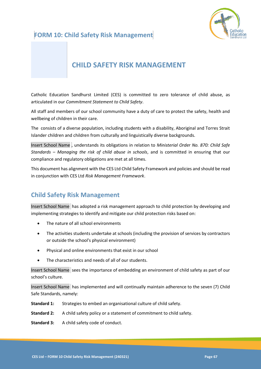



# **CHILD SAFETY RISK MANAGEMENT**

Catholic Education Sandhurst Limited (CES) is committed to zero tolerance of child abuse, as articulated in our *Commitment Statement to Child Safety*.

All staff and members of our school community have a duty of care to protect the safety, health and wellbeing of children in their care.

The consists of a diverse population, including students with a disability, Aboriginal and Torres Strait Islander children and children from culturally and linguistically diverse backgrounds.

Insert School Name , understands its obligations in relation to *Ministerial Order No. 870: Child Safe Standards – Managing the risk of child abuse in schools*, and is committed in ensuring that our compliance and regulatory obligations are met at all times.

This document has alignment with the CES Ltd Child Safety Framework and policies and should be read in conjunction with CES Ltd *Risk Management Framework*.

# **Child Safety Risk Management**

Insert School Name has adopted a risk management approach to child protection by developing and implementing strategies to identify and mitigate our child protection risks based on:

- The nature of all school environments
- The activities students undertake at schools (including the provision of services by contractors or outside the school's physical environment)
- Physical and online environments that exist in our school
- The characteristics and needs of all of our students.

Insert School Name sees the importance of embedding an environment of child safety as part of our school's culture.

Insert School Name has implemented and will continually maintain adherence to the seven (7) Child Safe Standards, namely:

- **Standard 1:** Strategies to embed an organisational culture of child safety.
- **Standard 2:** A child safety policy or a statement of commitment to child safety.
- **Standard 3:** A child safety code of conduct.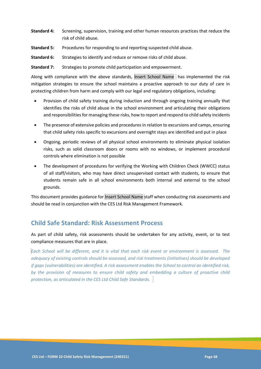- **Standard 4:** Screening, supervision, training and other human resources practices that reduce the risk of child abuse.
- **Standard 5:** Procedures for responding to and reporting suspected child abuse.
- **Standard 6:** Strategies to identify and reduce or remove risks of child abuse.

**Standard 7:** Strategies to promote child participation and empowerment.

Along with compliance with the above standards, Insert School Name has implemented the risk mitigation strategies to ensure the school maintains a proactive approach to our duty of care in protecting children from harm and comply with our legal and regulatory obligations, including:

- Provision of child safety training during induction and through ongoing training annually that identifies the risks of child abuse in the school environment and articulating their obligations and responsibilities for managing these risks, how to report and respond to child safety incidents
- The presence of extensive policies and procedures in relation to excursions and camps, ensuring that child safety risks specific to excursions and overnight stays are identified and put in place
- Ongoing, periodic reviews of all physical school environments to eliminate physical isolation risks, such as solid classroom doors or rooms with no windows, or implement procedural controls where elimination is not possible
- The development of procedures for verifying the Working with Children Check (WWCC) status of all staff/visitors, who may have direct unsupervised contact with students, to ensure that students remain safe in all school environments both internal and external to the school grounds.

This document provides guidance for Insert School Name staff when conducting risk assessments and should be read in conjunction with the CES Ltd Risk Management Framework.

# **Child Safe Standard: Risk Assessment Process**

As part of child safety, risk assessments should be undertaken for any activity, event, or to test compliance measures that are in place.

*Each School will be different, and it is vital that each risk event or environment is assessed. The adequacy of existing controls should be assessed, and risk treatments (initiatives) should be developed if gaps (vulnerabilities) are identified. A risk assessment enables the School to control an identified risk, by the provision of measures to ensure child safety and embedding a culture of proactive child protection, as articulated in the CES Ltd Child Safe Standards.*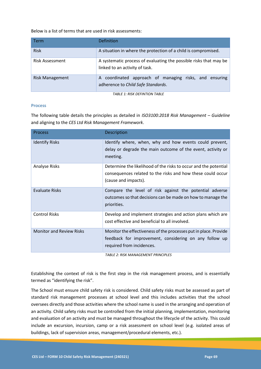Below is a list of terms that are used in risk assessments:

| Term                   | <b>Definition</b>                                                                                   |  |  |  |  |  |  |  |
|------------------------|-----------------------------------------------------------------------------------------------------|--|--|--|--|--|--|--|
| <b>Risk</b>            | A situation in where the protection of a child is compromised.                                      |  |  |  |  |  |  |  |
| Risk Assessment        | A systematic process of evaluating the possible risks that may be<br>linked to an activity of task. |  |  |  |  |  |  |  |
| <b>Risk Management</b> | A coordinated approach of managing risks, and ensuring<br>adherence to Child Safe Standards.        |  |  |  |  |  |  |  |
|                        | TARI E 1. RICK DEEINTION TARI E                                                                     |  |  |  |  |  |  |  |

*TABLE 1: RISK DEFINTION TABLE*

### **Process**

The following table details the principles as detailed in *ISO3100:2018 Risk Management – Guideline* and aligning to the *CES Ltd Risk Management Framework*.

| <b>Process</b>                  | Description                                                                                                                                             |
|---------------------------------|---------------------------------------------------------------------------------------------------------------------------------------------------------|
| <b>Identify Risks</b>           | Identify where, when, why and how events could prevent,<br>delay or degrade the main outcome of the event, activity or<br>meeting.                      |
| <b>Analyse Risks</b>            | Determine the likelihood of the risks to occur and the potential<br>consequences related to the risks and how these could occur<br>(cause and impacts). |
| <b>Evaluate Risks</b>           | Compare the level of risk against the potential adverse<br>outcomes so that decisions can be made on how to manage the<br>priorities.                   |
| <b>Control Risks</b>            | Develop and implement strategies and action plans which are<br>cost effective and beneficial to all involved.                                           |
| <b>Monitor and Review Risks</b> | Monitor the effectiveness of the processes put in place. Provide<br>feedback for improvement, considering on any follow up<br>required from incidences. |

*TABLE 2: RISK MANAGEMENT PRINCIPLES*

Establishing the context of risk is the first step in the risk management process, and is essentially termed as "identifying the risk".

The School must ensure child safety risk is considered. Child safety risks must be assessed as part of standard risk management processes at school level and this includes activities that the school oversees directly and those activities where the school name is used in the arranging and operation of an activity. Child safety risks must be controlled from the initial planning, implementation, monitoring and evaluation of an activity and must be managed throughout the lifecycle of the activity. This could include an excursion, incursion, camp or a risk assessment on school level (e.g. isolated areas of buildings, lack of supervision areas, management/procedural elements, etc.).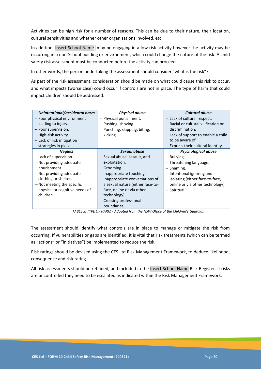Activities can be high risk for a number of reasons. This can be due to their nature, their location, cultural sensitivities and whether other organisations involved, etc.

In addition, Insert School Name may be engaging in a low risk activity however the activity may be occurring in a non-School building or environment, which could change the nature of the risk. A child safety risk assessment must be conducted before the activity can proceed.

In other words, the person undertaking the assessment should consider "what is the risk"?

As part of the risk assessment, consideration should be made on what could cause this risk to occur, and what impacts (worse case) could occur if controls are not in place. The type of harm that could impact children should be addressed.

| Unintentional/accidental harm  | <b>Physical abuse</b>            | <b>Cultural abuse</b>                |  |  |
|--------------------------------|----------------------------------|--------------------------------------|--|--|
| - Poor physical environment    | - Physical punishment.           | - Lack of cultural respect.          |  |  |
| leading to injury.             | - Pushing, shoving.              | - Racial or cultural vilification or |  |  |
| - Poor supervision.            | - Punching, slapping, biting,    | discrimination.                      |  |  |
| - High-risk activity.          | kicking.                         | - Lack of support to enable a child  |  |  |
| - Lack of risk mitigation      |                                  | to be aware of.                      |  |  |
| strategies in place.           |                                  | $-$ Express their cultural identity. |  |  |
| <b>Neglect</b>                 | Sexual abuse                     | Psychological abuse                  |  |  |
| - Lack of supervision.         | -Sexual abuse, assault, and      | - Bullying.                          |  |  |
| - Not providing adequate       | exploitation.                    | - Threatening language.              |  |  |
| nourishment.                   | -Grooming.                       | - Shaming.                           |  |  |
| - Not providing adequate       | -Inappropriate touching.         | - Intentional ignoring and           |  |  |
| clothing or shelter.           | - Inappropriate conversations of | isolating (either face-to-face,      |  |  |
| - Not meeting the specific     | a sexual nature (either face-to- | online or via other technology).     |  |  |
| physical or cognitive needs of | face, online or via other        | - Spiritual.                         |  |  |
| children.                      | technology).                     |                                      |  |  |
|                                | - Crossing professional          |                                      |  |  |
|                                | boundaries.                      |                                      |  |  |

*TABLE 3: TYPE OF HARM - Adapted from the NSW Office of the Children's Guardian*

The assessment should identify what controls are in place to manage or mitigate the risk from occurring. If vulnerabilities or gaps are identified, it is vital that risk treatments (which can be termed as "actions" or "initiatives") be implemented to reduce the risk.

Risk ratings should be devised using the CES Ltd Risk Management Framework, to deduce likelihood, consequence and risk rating.

All risk assessments should be retained, and included in the Insert School Name Risk Register. If risks are uncontrolled they need to be escalated as indicated within the Risk Management Framework.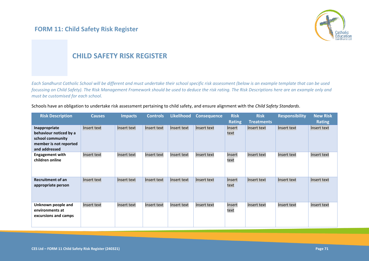# **FORM 11: Child Safety Risk Register**



# **CHILD SAFETY RISK REGISTER**

*Each Sandhurst Catholic School will be different and must undertake their school specific risk assessment (below is an example template that can be used focussing on Child Safety). The Risk Management Framework should be used to deduce the risk rating. The Risk Descriptions here are an example only and must be customised for each school.*

Schools have an obligation to undertake risk assessment pertaining to child safety, and ensure alignment with the *Child Safety Standards*.

| <b>Risk Description</b>                                                                                | <b>Causes</b> | <b>Impacts</b> | <b>Controls</b> | <b>Likelihood</b> | <b>Consequence</b> | <b>Risk</b><br><b>Rating</b> | <b>Risk</b><br><b>Treatments</b> | <b>Responsibility</b> | <b>New Risk</b><br><b>Rating</b> |
|--------------------------------------------------------------------------------------------------------|---------------|----------------|-----------------|-------------------|--------------------|------------------------------|----------------------------------|-----------------------|----------------------------------|
| Inappropriate<br>behaviour noticed by a<br>school community<br>member is not reported<br>and addressed | Insert text   | Insert text    | Insert text     | Insert text       | Insert text        | Insert<br>text               | Insert text                      | Insert text           | Insert text                      |
| <b>Engagement with</b><br>children online                                                              | Insert text   | Insert text    | Insert text     | Insert text       | Insert text        | Insert<br>text               | Insert text                      | Insert text           | Insert text                      |
| <b>Recruitment of an</b><br>appropriate person                                                         | Insert text   | Insert text    | Insert text     | Insert text       | Insert text        | Insert<br>text               | Insert text                      | Insert text           | Insert text                      |
| Unknown people and<br>environments at<br>excursions and camps                                          | Insert text   | Insert text    | Insert text     | Insert text       | Insert text        | Insert<br>text               | Insert text                      | Insert text           | Insert text                      |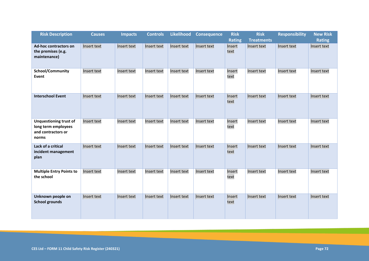| <b>Risk Description</b>                                                             | <b>Causes</b> | <b>Impacts</b> | <b>Controls</b> | Likelihood  | <b>Consequence</b> | <b>Risk</b>    | <b>Risk</b>       | <b>Responsibility</b> | <b>New Risk</b> |
|-------------------------------------------------------------------------------------|---------------|----------------|-----------------|-------------|--------------------|----------------|-------------------|-----------------------|-----------------|
|                                                                                     |               |                |                 |             |                    | <b>Rating</b>  | <b>Treatments</b> |                       | <b>Rating</b>   |
| <b>Ad-hoc contractors on</b><br>the premises (e.g.<br>maintenance)                  | Insert text   | Insert text    | Insert text     | Insert text | Insert text        | Insert<br>text | Insert text       | Insert text           | Insert text     |
| School/Community<br>Event                                                           | Insert text   | Insert text    | Insert text     | Insert text | Insert text        | Insert<br>text | Insert text       | Insert text           | Insert text     |
| <b>Interschool Event</b>                                                            | Insert text   | Insert text    | Insert text     | Insert text | Insert text        | Insert<br>text | Insert text       | Insert text           | Insert text     |
| <b>Unquestioning trust of</b><br>long term employees<br>and contractors or<br>norms | Insert text   | Insert text    | Insert text     | Insert text | Insert text        | Insert<br>text | Insert text       | Insert text           | Insert text     |
| Lack of a critical<br>incident management<br>plan                                   | Insert text   | Insert text    | Insert text     | Insert text | Insert text        | Insert<br>text | Insert text       | Insert text           | Insert text     |
| <b>Multiple Entry Points to</b><br>the school                                       | Insert text   | Insert text    | Insert text     | Insert text | Insert text        | Insert<br>text | Insert text       | Insert text           | Insert text     |
| Unknown people on<br><b>School grounds</b>                                          | Insert text   | Insert text    | Insert text     | Insert text | Insert text        | Insert<br>text | Insert text       | Insert text           | Insert text     |